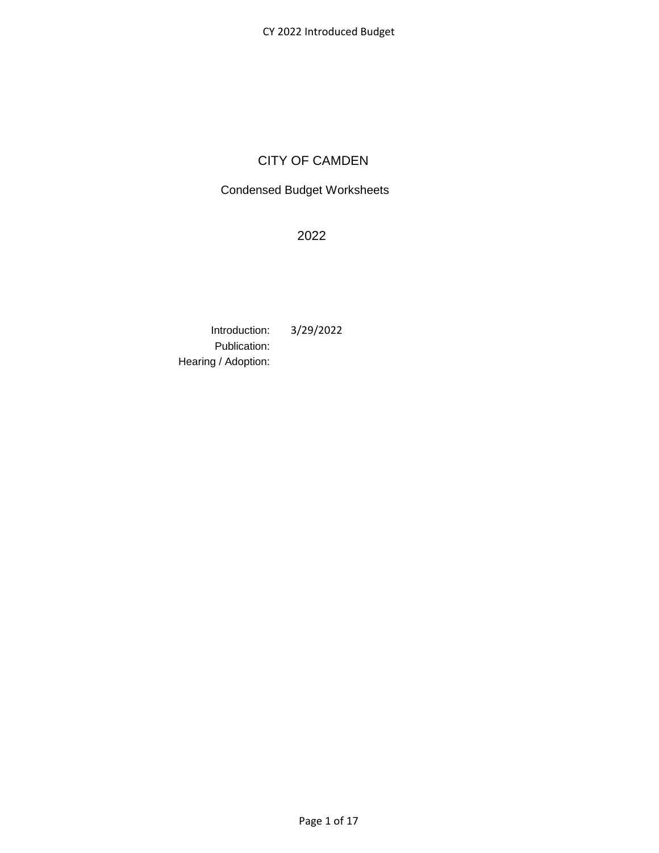# CITY OF CAMDEN

# Condensed Budget Worksheets

2022

Introduction: 3/29/2022 Publication: Hearing / Adoption: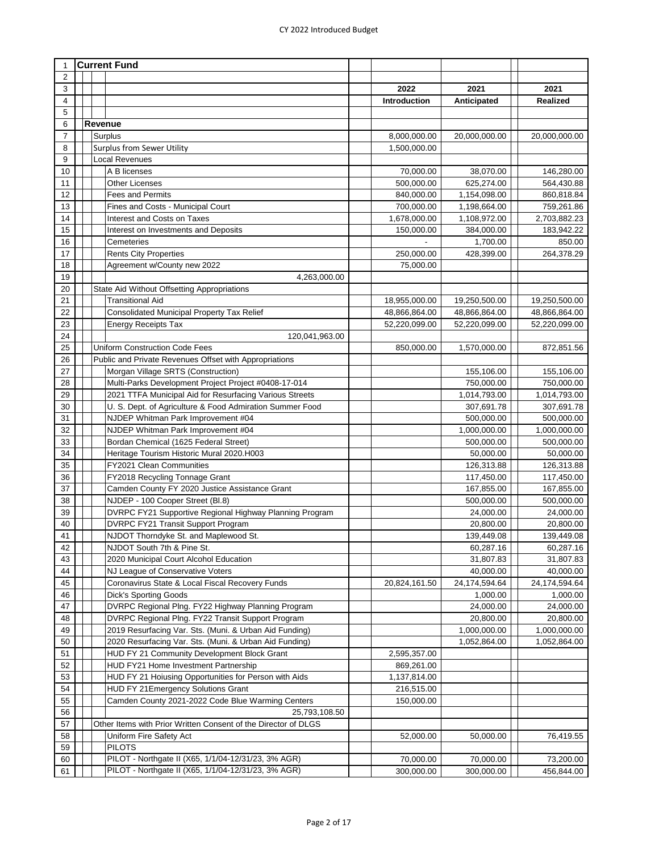| $\mathbf{1}$ |  | <b>Current Fund</b>                                            |               |               |                 |
|--------------|--|----------------------------------------------------------------|---------------|---------------|-----------------|
| 2            |  |                                                                |               |               |                 |
| 3            |  |                                                                | 2022          | 2021          | 2021            |
| 4            |  |                                                                | Introduction  | Anticipated   | <b>Realized</b> |
| 5            |  |                                                                |               |               |                 |
| 6            |  | Revenue                                                        |               |               |                 |
| 7            |  | Surplus                                                        | 8,000,000.00  | 20,000,000.00 | 20,000,000.00   |
| 8            |  | <b>Surplus from Sewer Utility</b>                              | 1,500,000.00  |               |                 |
| 9            |  | <b>Local Revenues</b>                                          |               |               |                 |
| 10           |  | A B licenses                                                   | 70,000.00     | 38,070.00     | 146,280.00      |
| 11           |  | <b>Other Licenses</b>                                          | 500,000.00    | 625,274.00    | 564,430.88      |
| 12           |  | <b>Fees and Permits</b>                                        | 840,000.00    | 1,154,098.00  | 860,818.84      |
| 13           |  | Fines and Costs - Municipal Court                              | 700,000.00    | 1,198,664.00  | 759,261.86      |
| 14           |  | Interest and Costs on Taxes                                    | 1,678,000.00  | 1,108,972.00  | 2,703,882.23    |
| 15           |  | Interest on Investments and Deposits                           | 150,000.00    | 384,000.00    | 183,942.22      |
| 16           |  | Cemeteries                                                     |               | 1,700.00      | 850.00          |
| 17           |  | <b>Rents City Properties</b>                                   | 250,000.00    | 428,399.00    | 264,378.29      |
| 18           |  | Agreement w/County new 2022                                    | 75,000.00     |               |                 |
| 19           |  | 4,263,000.00                                                   |               |               |                 |
| 20           |  | State Aid Without Offsetting Appropriations                    |               |               |                 |
| 21           |  | <b>Transitional Aid</b>                                        | 18,955,000.00 | 19,250,500.00 | 19,250,500.00   |
| 22           |  | Consolidated Municipal Property Tax Relief                     | 48,866,864.00 | 48,866,864.00 | 48,866,864.00   |
| 23           |  | <b>Energy Receipts Tax</b>                                     | 52,220,099.00 | 52,220,099.00 | 52,220,099.00   |
| 24           |  | 120,041,963.00                                                 |               |               |                 |
| 25           |  | <b>Uniform Construction Code Fees</b>                          | 850,000.00    | 1,570,000.00  | 872,851.56      |
| 26           |  | Public and Private Revenues Offset with Appropriations         |               |               |                 |
| 27           |  | Morgan Village SRTS (Construction)                             |               | 155,106.00    | 155,106.00      |
| 28           |  | Multi-Parks Development Project Project #0408-17-014           |               | 750,000.00    | 750,000.00      |
| 29           |  | 2021 TTFA Municipal Aid for Resurfacing Various Streets        |               | 1,014,793.00  | 1,014,793.00    |
| 30           |  | U. S. Dept. of Agriculture & Food Admiration Summer Food       |               | 307,691.78    | 307,691.78      |
| 31           |  | NJDEP Whitman Park Improvement #04                             |               | 500,000.00    | 500,000.00      |
| 32           |  | NJDEP Whitman Park Improvement #04                             |               | 1,000,000.00  | 1,000,000.00    |
| 33           |  | Bordan Chemical (1625 Federal Street)                          |               | 500,000.00    | 500,000.00      |
| 34           |  | Heritage Tourism Historic Mural 2020.H003                      |               | 50,000.00     | 50,000.00       |
| 35           |  | FY2021 Clean Communities                                       |               | 126,313.88    | 126,313.88      |
| 36           |  | FY2018 Recycling Tonnage Grant                                 |               | 117,450.00    | 117,450.00      |
| 37           |  | Camden County FY 2020 Justice Assistance Grant                 |               | 167,855.00    | 167,855.00      |
| 38           |  | NJDEP - 100 Cooper Street (Bl.8)                               |               | 500,000.00    | 500,000.00      |
| 39           |  | DVRPC FY21 Supportive Regional Highway Planning Program        |               | 24,000.00     | 24,000.00       |
| 40           |  | <b>DVRPC FY21 Transit Support Program</b>                      |               | 20,800.00     | 20,800.00       |
| 41           |  | NJDOT Thorndyke St. and Maplewood St.                          |               | 139,449.08    | 139,449.08      |
| 42           |  | NJDOT South 7th & Pine St.                                     |               | 60,287.16     | 60,287.16       |
| 43           |  | 2020 Municipal Court Alcohol Education                         |               | 31,807.83     | 31,807.83       |
| 44           |  | NJ League of Conservative Voters                               |               | 40,000.00     | 40,000.00       |
| 45           |  | Coronavirus State & Local Fiscal Recovery Funds                | 20,824,161.50 | 24,174,594.64 | 24,174,594.64   |
| 46           |  | <b>Dick's Sporting Goods</b>                                   |               | 1,000.00      | 1,000.00        |
| 47           |  | DVRPC Regional Plng. FY22 Highway Planning Program             |               | 24,000.00     | 24,000.00       |
| 48           |  | DVRPC Regional Plng. FY22 Transit Support Program              |               | 20,800.00     | 20,800.00       |
| 49           |  | 2019 Resurfacing Var. Sts. (Muni. & Urban Aid Funding)         |               | 1,000,000.00  | 1,000,000.00    |
| 50           |  | 2020 Resurfacing Var. Sts. (Muni. & Urban Aid Funding)         |               | 1,052,864.00  | 1,052,864.00    |
| 51           |  | HUD FY 21 Community Development Block Grant                    | 2,595,357.00  |               |                 |
| 52           |  | HUD FY21 Home Investment Partnership                           | 869,261.00    |               |                 |
| 53           |  | HUD FY 21 Hoiusing Opportunities for Person with Aids          | 1,137,814.00  |               |                 |
| 54           |  | HUD FY 21 Emergency Solutions Grant                            | 216,515.00    |               |                 |
| 55           |  | Camden County 2021-2022 Code Blue Warming Centers              | 150,000.00    |               |                 |
| 56           |  | 25,793,108.50                                                  |               |               |                 |
| 57           |  | Other Items with Prior Written Consent of the Director of DLGS |               |               |                 |
| 58           |  | Uniform Fire Safety Act                                        | 52,000.00     | 50,000.00     | 76,419.55       |
| 59           |  | <b>PILOTS</b>                                                  |               |               |                 |
| 60           |  | PILOT - Northgate II (X65, 1/1/04-12/31/23, 3% AGR)            | 70,000.00     | 70,000.00     | 73,200.00       |
| 61           |  | PILOT - Northgate II (X65, 1/1/04-12/31/23, 3% AGR)            | 300,000.00    | 300,000.00    | 456,844.00      |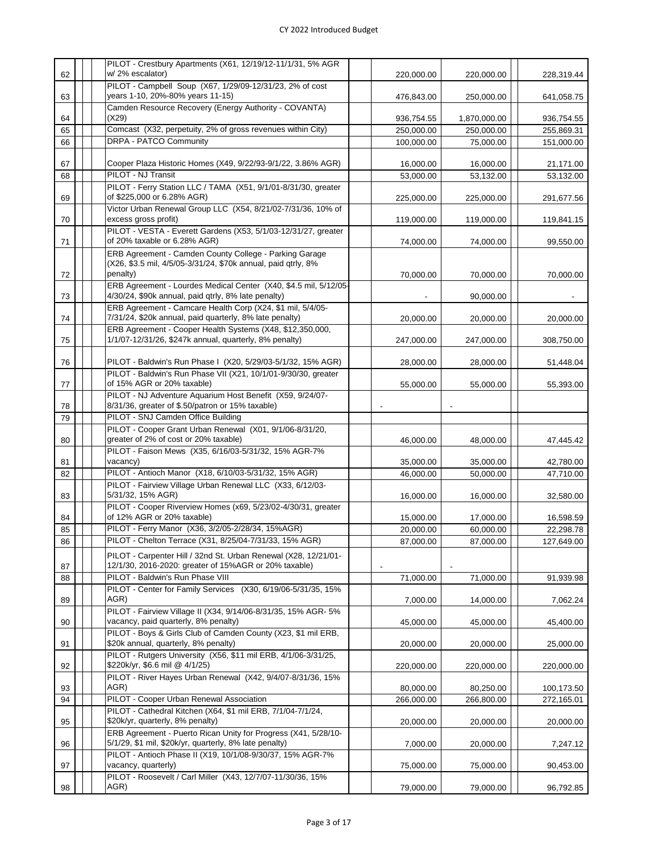|    | PILOT - Crestbury Apartments (X61, 12/19/12-11/1/31, 5% AGR                                                                         |            |              |            |
|----|-------------------------------------------------------------------------------------------------------------------------------------|------------|--------------|------------|
| 62 | w/2% escalator)                                                                                                                     | 220,000.00 | 220,000.00   | 228,319.44 |
| 63 | PILOT - Campbell Soup (X67, 1/29/09-12/31/23, 2% of cost<br>years 1-10, 20%-80% years 11-15)                                        | 476,843.00 | 250,000.00   | 641,058.75 |
| 64 | Camden Resource Recovery (Energy Authority - COVANTA)<br>(X29)                                                                      | 936,754.55 | 1,870,000.00 | 936,754.55 |
| 65 | Comcast (X32, perpetuity, 2% of gross revenues within City)                                                                         | 250,000.00 | 250,000.00   | 255,869.31 |
| 66 | <b>DRPA - PATCO Community</b>                                                                                                       | 100,000.00 | 75,000.00    | 151,000.00 |
|    |                                                                                                                                     |            |              |            |
| 67 | Cooper Plaza Historic Homes (X49, 9/22/93-9/1/22, 3.86% AGR)                                                                        | 16,000.00  | 16,000.00    | 21,171.00  |
| 68 | PILOT - NJ Transit                                                                                                                  | 53,000.00  | 53,132.00    | 53,132.00  |
| 69 | PILOT - Ferry Station LLC / TAMA (X51, 9/1/01-8/31/30, greater<br>of \$225,000 or 6.28% AGR)                                        | 225,000.00 | 225,000.00   | 291,677.56 |
| 70 | Victor Urban Renewal Group LLC (X54, 8/21/02-7/31/36, 10% of<br>excess gross profit)                                                | 119,000.00 | 119,000.00   | 119,841.15 |
| 71 | PILOT - VESTA - Everett Gardens (X53, 5/1/03-12/31/27, greater<br>of 20% taxable or 6.28% AGR)                                      | 74,000.00  | 74,000.00    | 99,550.00  |
| 72 | ERB Agreement - Camden County College - Parking Garage<br>(X26, \$3.5 mil, 4/5/05-3/31/24, \$70k annual, paid qtrly, 8%<br>penalty) | 70,000.00  |              |            |
|    | ERB Agreement - Lourdes Medical Center (X40, \$4.5 mil, 5/12/05-                                                                    |            | 70,000.00    | 70,000.00  |
| 73 | 4/30/24, \$90k annual, paid qtrly, 8% late penalty)                                                                                 |            | 90,000.00    |            |
| 74 | ERB Agreement - Camcare Health Corp (X24, \$1 mil, 5/4/05-<br>7/31/24, \$20k annual, paid quarterly, 8% late penalty)               | 20,000.00  | 20,000.00    | 20,000.00  |
|    | ERB Agreement - Cooper Health Systems (X48, \$12,350,000,                                                                           |            |              |            |
| 75 | 1/1/07-12/31/26, \$247k annual, quarterly, 8% penalty)                                                                              | 247,000.00 | 247,000.00   | 308,750.00 |
| 76 | PILOT - Baldwin's Run Phase I (X20, 5/29/03-5/1/32, 15% AGR)                                                                        | 28,000.00  | 28,000.00    | 51,448.04  |
| 77 | PILOT - Baldwin's Run Phase VII (X21, 10/1/01-9/30/30, greater<br>of 15% AGR or 20% taxable)                                        | 55,000.00  | 55,000.00    | 55,393.00  |
| 78 | PILOT - NJ Adventure Aquarium Host Benefit (X59, 9/24/07-<br>8/31/36, greater of \$.50/patron or 15% taxable)                       |            |              |            |
| 79 | PILOT - SNJ Camden Office Building                                                                                                  |            |              |            |
| 80 | PILOT - Cooper Grant Urban Renewal (X01, 9/1/06-8/31/20,<br>greater of 2% of cost or 20% taxable)                                   | 46,000.00  | 48,000.00    | 47,445.42  |
|    | PILOT - Faison Mews (X35, 6/16/03-5/31/32, 15% AGR-7%                                                                               |            |              |            |
| 81 | vacancy)<br>PILOT - Antioch Manor (X18, 6/10/03-5/31/32, 15% AGR)                                                                   | 35,000.00  | 35,000.00    | 42,780.00  |
| 82 | PILOT - Fairview Village Urban Renewal LLC (X33, 6/12/03-                                                                           | 46,000.00  | 50,000.00    | 47,710.00  |
| 83 | 5/31/32, 15% AGR)                                                                                                                   | 16,000.00  | 16,000.00    | 32,580.00  |
| 84 | PILOT - Cooper Riverview Homes (x69, 5/23/02-4/30/31, greater<br>of 12% AGR or 20% taxable)                                         | 15,000.00  | 17,000.00    | 16,598.59  |
| 85 | PILOT - Ferry Manor (X36, 3/2/05-2/28/34, 15%AGR)                                                                                   | 20,000.00  | 60,000.00    | 22,298.78  |
| 86 | PILOT - Chelton Terrace (X31, 8/25/04-7/31/33, 15% AGR)                                                                             | 87,000.00  | 87,000.00    | 127,649.00 |
| 87 | PILOT - Carpenter Hill / 32nd St. Urban Renewal (X28, 12/21/01-<br>12/1/30, 2016-2020: greater of 15%AGR or 20% taxable)            |            |              |            |
| 88 | PILOT - Baldwin's Run Phase VIII                                                                                                    | 71,000.00  | 71,000.00    | 91,939.98  |
|    | PILOT - Center for Family Services (X30, 6/19/06-5/31/35, 15%                                                                       |            |              |            |
| 89 | AGR)                                                                                                                                | 7,000.00   | 14,000.00    | 7,062.24   |
| 90 | PILOT - Fairview Village II (X34, 9/14/06-8/31/35, 15% AGR- 5%<br>vacancy, paid quarterly, 8% penalty)                              | 45,000.00  | 45,000.00    | 45,400.00  |
| 91 | PILOT - Boys & Girls Club of Camden County (X23, \$1 mil ERB,<br>\$20k annual, quarterly, 8% penalty)                               | 20,000.00  | 20,000.00    | 25,000.00  |
| 92 | PILOT - Rutgers University (X56, \$11 mil ERB, 4/1/06-3/31/25,<br>\$220k/yr, \$6.6 mil @ 4/1/25)                                    | 220,000.00 | 220,000.00   | 220,000.00 |
| 93 | PILOT - River Hayes Urban Renewal (X42, 9/4/07-8/31/36, 15%<br>AGR)                                                                 | 80,000.00  | 80,250.00    | 100,173.50 |
| 94 | PILOT - Cooper Urban Renewal Association                                                                                            | 266,000.00 | 266,800.00   | 272,165.01 |
| 95 | PILOT - Cathedral Kitchen (X64, \$1 mil ERB, 7/1/04-7/1/24,<br>\$20k/yr, quarterly, 8% penalty)                                     | 20,000.00  | 20,000.00    | 20,000.00  |
| 96 | ERB Agreement - Puerto Rican Unity for Progress (X41, 5/28/10-<br>5/1/29, \$1 mil, \$20k/yr, quarterly, 8% late penalty)            | 7,000.00   | 20,000.00    | 7,247.12   |
| 97 | PILOT - Antioch Phase II (X19, 10/1/08-9/30/37, 15% AGR-7%<br>vacancy, quarterly)                                                   | 75,000.00  | 75,000.00    | 90,453.00  |
|    | PILOT - Roosevelt / Carl Miller (X43, 12/7/07-11/30/36, 15%                                                                         |            |              |            |
| 98 | AGR)                                                                                                                                | 79,000.00  | 79,000.00    | 96,792.85  |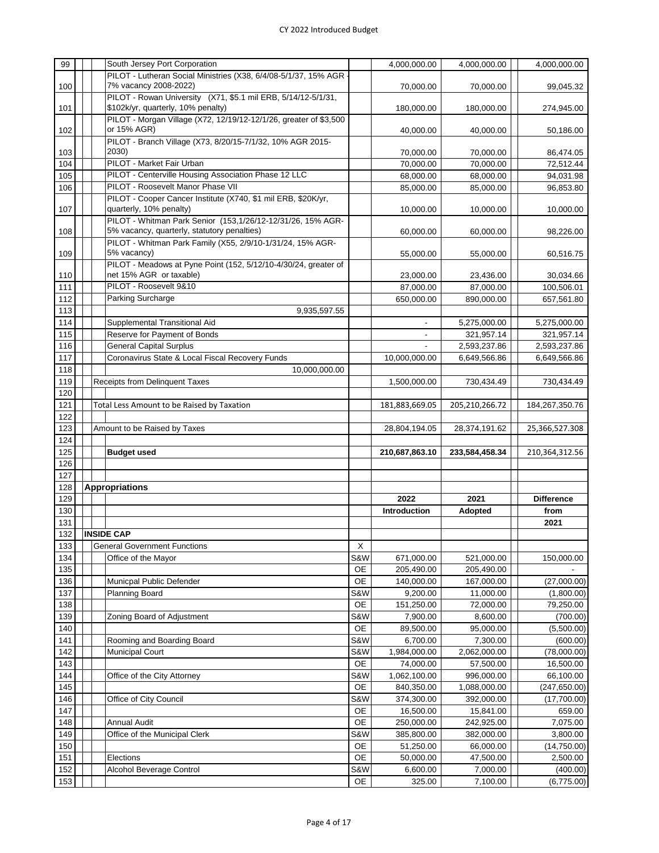| 99         |  | South Jersey Port Corporation                                     |           | 4,000,000.00             | 4,000,000.00         | 4,000,000.00           |
|------------|--|-------------------------------------------------------------------|-----------|--------------------------|----------------------|------------------------|
|            |  | PILOT - Lutheran Social Ministries (X38, 6/4/08-5/1/37, 15% AGR · |           |                          |                      |                        |
| 100        |  | 7% vacancy 2008-2022)                                             |           | 70,000.00                | 70,000.00            | 99,045.32              |
|            |  | PILOT - Rowan University (X71, \$5.1 mil ERB, 5/14/12-5/1/31,     |           |                          |                      |                        |
| 101        |  | \$102k/yr, quarterly, 10% penalty)                                |           | 180,000.00               | 180,000.00           | 274,945.00             |
|            |  | PILOT - Morgan Village (X72, 12/19/12-12/1/26, greater of \$3,500 |           |                          |                      |                        |
|            |  |                                                                   |           |                          |                      |                        |
| 102        |  | or 15% AGR)                                                       |           | 40,000.00                | 40,000.00            | 50,186.00              |
|            |  | PILOT - Branch Village (X73, 8/20/15-7/1/32, 10% AGR 2015-        |           |                          |                      |                        |
| 103        |  | 2030)                                                             |           | 70,000.00                | 70,000.00            | 86,474.05              |
| 104        |  | PILOT - Market Fair Urban                                         |           | 70,000.00                | 70,000.00            | 72,512.44              |
| 105        |  | PILOT - Centerville Housing Association Phase 12 LLC              |           | 68,000.00                | 68,000.00            | 94,031.98              |
|            |  | PILOT - Roosevelt Manor Phase VII                                 |           |                          |                      |                        |
| 106        |  |                                                                   |           | 85,000.00                | 85,000.00            | 96,853.80              |
|            |  | PILOT - Cooper Cancer Institute (X740, \$1 mil ERB, \$20K/yr,     |           |                          |                      |                        |
| 107        |  | quarterly, 10% penalty)                                           |           | 10,000.00                | 10,000.00            | 10,000.00              |
|            |  | PILOT - Whitman Park Senior (153,1/26/12-12/31/26, 15% AGR-       |           |                          |                      |                        |
| 108        |  | 5% vacancy, quarterly, statutory penalties)                       |           | 60,000.00                | 60,000.00            | 98,226.00              |
|            |  | PILOT - Whitman Park Family (X55, 2/9/10-1/31/24, 15% AGR-        |           |                          |                      |                        |
|            |  | 5% vacancy)                                                       |           |                          |                      |                        |
| 109        |  |                                                                   |           | 55,000.00                | 55,000.00            | 60,516.75              |
|            |  | PILOT - Meadows at Pyne Point (152, 5/12/10-4/30/24, greater of   |           |                          |                      |                        |
| 110        |  | net 15% AGR or taxable)                                           |           | 23,000.00                | 23,436.00            | 30,034.66              |
| 111        |  | PILOT - Roosevelt 9&10                                            |           | 87,000.00                | 87,000.00            | 100,506.01             |
| 112        |  | Parking Surcharge                                                 |           | 650,000.00               | 890,000.00           | 657,561.80             |
|            |  |                                                                   |           |                          |                      |                        |
| 113        |  | 9,935,597.55                                                      |           |                          |                      |                        |
| 114        |  | Supplemental Transitional Aid                                     |           | $\overline{\phantom{a}}$ | 5,275,000.00         | 5,275,000.00           |
| 115        |  | Reserve for Payment of Bonds                                      |           |                          | 321,957.14           | 321,957.14             |
| 116        |  | <b>General Capital Surplus</b>                                    |           |                          | 2,593,237.86         | 2,593,237.86           |
| 117        |  | Coronavirus State & Local Fiscal Recovery Funds                   |           | 10,000,000.00            | 6,649,566.86         | 6,649,566.86           |
|            |  |                                                                   |           |                          |                      |                        |
| 118        |  | 10,000,000.00                                                     |           |                          |                      |                        |
| 119        |  | Receipts from Delinquent Taxes                                    |           | 1,500,000.00             | 730,434.49           | 730,434.49             |
| 120        |  |                                                                   |           |                          |                      |                        |
| 121        |  | Total Less Amount to be Raised by Taxation                        |           | 181,883,669.05           | 205,210,266.72       | 184,267,350.76         |
| 122        |  |                                                                   |           |                          |                      |                        |
|            |  |                                                                   |           |                          |                      |                        |
|            |  |                                                                   |           |                          |                      |                        |
| 123        |  | Amount to be Raised by Taxes                                      |           | 28,804,194.05            | 28,374,191.62        | 25,366,527.308         |
| 124        |  |                                                                   |           |                          |                      |                        |
|            |  | <b>Budget used</b>                                                |           | 210,687,863.10           | 233,584,458.34       | 210,364,312.56         |
| 125        |  |                                                                   |           |                          |                      |                        |
| 126        |  |                                                                   |           |                          |                      |                        |
| 127        |  |                                                                   |           |                          |                      |                        |
| 128        |  | <b>Appropriations</b>                                             |           |                          |                      |                        |
| 129        |  |                                                                   |           | 2022                     | 2021                 | <b>Difference</b>      |
| 130        |  |                                                                   |           | Introduction             | Adopted              | from                   |
|            |  |                                                                   |           |                          |                      |                        |
| 131        |  |                                                                   |           |                          |                      | 2021                   |
| 132        |  | <b>INSIDE CAP</b>                                                 |           |                          |                      |                        |
| 133        |  | <b>General Government Functions</b>                               | X         |                          |                      |                        |
| 134        |  | Office of the Mayor                                               | S&W       | 671,000.00               | 521,000.00           | 150,000.00             |
| 135        |  |                                                                   | OE        | 205,490.00               | 205,490.00           |                        |
|            |  |                                                                   |           |                          |                      |                        |
| 136        |  | Municpal Public Defender                                          | OE        | 140,000.00               | 167,000.00           | (27,000.00)            |
| 137        |  | Planning Board                                                    | S&W       | 9,200.00                 | 11,000.00            | (1,800.00)             |
| 138        |  |                                                                   | OE        | 151,250.00               | 72,000.00            | 79,250.00              |
| 139        |  | Zoning Board of Adjustment                                        | S&W       | 7,900.00                 | 8,600.00             | (700.00)               |
| 140        |  |                                                                   | OE        | 89,500.00                | 95,000.00            | (5,500.00)             |
|            |  |                                                                   |           |                          |                      |                        |
| 141        |  | Rooming and Boarding Board                                        | S&W       | 6,700.00                 | 7,300.00             | (600.00)               |
| 142        |  | <b>Municipal Court</b>                                            | S&W       | 1,984,000.00             | 2,062,000.00         | (78,000.00)            |
| 143        |  |                                                                   | <b>OE</b> | 74,000.00                | 57,500.00            | 16,500.00              |
| 144        |  | Office of the City Attorney                                       | S&W       | 1,062,100.00             | 996,000.00           | 66,100.00              |
|            |  |                                                                   | <b>OE</b> | 840,350.00               |                      |                        |
| 145        |  |                                                                   |           |                          | 1,088,000.00         | (247, 650.00)          |
| 146        |  | Office of City Council                                            | S&W       | 374,300.00               | 392,000.00           | (17,700.00)            |
| 147        |  |                                                                   | OE        | 16,500.00                | 15,841.00            | 659.00                 |
| 148        |  | <b>Annual Audit</b>                                               | OE        | 250,000.00               | 242,925.00           | 7,075.00               |
| 149        |  | Office of the Municipal Clerk                                     | S&W       | 385,800.00               | 382,000.00           | 3,800.00               |
|            |  |                                                                   |           |                          |                      |                        |
| 150        |  |                                                                   | OE        | 51,250.00                | 66,000.00            | (14, 750.00)           |
| 151        |  | Elections                                                         | <b>OE</b> | 50,000.00                | 47,500.00            | 2,500.00               |
| 152<br>153 |  | Alcohol Beverage Control                                          | S&W<br>OE | 6,600.00<br>325.00       | 7,000.00<br>7,100.00 | (400.00)<br>(6,775.00) |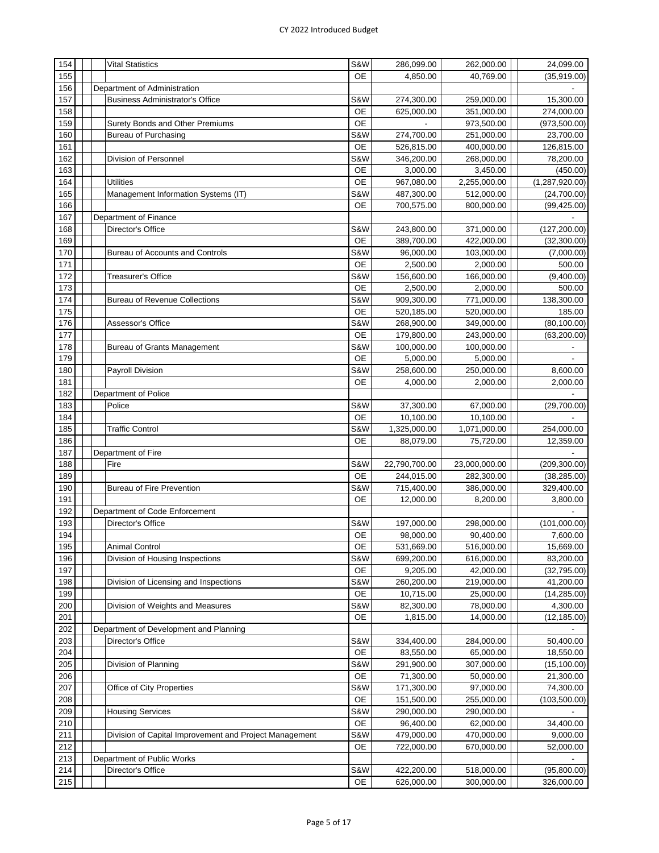| 154 |  | <b>Vital Statistics</b>                                | S&W              | 286,099.00    | 262,000.00              | 24,099.00                |
|-----|--|--------------------------------------------------------|------------------|---------------|-------------------------|--------------------------|
| 155 |  |                                                        | <b>OE</b>        | 4,850.00      | 40,769.00               | (35,919.00)              |
| 156 |  | Department of Administration                           |                  |               |                         |                          |
| 157 |  | <b>Business Administrator's Office</b>                 | S&W              | 274,300.00    | 259,000.00              | 15,300.00                |
| 158 |  |                                                        | <b>OE</b>        | 625,000.00    | 351,000.00              | 274,000.00               |
| 159 |  | Surety Bonds and Other Premiums                        | <b>OE</b>        |               | 973,500.00              | (973, 500.00)            |
| 160 |  | <b>Bureau of Purchasing</b>                            | S&W              | 274,700.00    | 251,000.00              | 23,700.00                |
| 161 |  |                                                        | OE               | 526,815.00    | 400,000.00              | 126,815.00               |
| 162 |  | Division of Personnel                                  | S&W              | 346,200.00    | 268,000.00              | 78,200.00                |
| 163 |  |                                                        | OE               | 3,000.00      | 3,450.00                | (450.00)                 |
| 164 |  | <b>Utilities</b>                                       | <b>OE</b>        | 967,080.00    | 2,255,000.00            | (1, 287, 920.00)         |
| 165 |  | Management Information Systems (IT)                    | S&W              | 487,300.00    | 512,000.00              | (24,700.00)              |
| 166 |  |                                                        | <b>OE</b>        | 700,575.00    | 800,000.00              | (99, 425.00)             |
| 167 |  | Department of Finance                                  |                  |               |                         |                          |
| 168 |  | Director's Office                                      | S&W              | 243,800.00    | 371,000.00              | (127, 200.00)            |
| 169 |  |                                                        | <b>OE</b>        | 389,700.00    | 422,000.00              | (32, 300.00)             |
| 170 |  | Bureau of Accounts and Controls                        | S&W              | 96,000.00     | 103,000.00              | (7,000.00)               |
| 171 |  |                                                        | <b>OE</b>        | 2,500.00      | 2,000.00                | 500.00                   |
| 172 |  | <b>Treasurer's Office</b>                              | S&W              | 156,600.00    | 166,000.00              | (9,400.00)               |
| 173 |  |                                                        | OE               | 2,500.00      | 2,000.00                | 500.00                   |
| 174 |  | <b>Bureau of Revenue Collections</b>                   | S&W              | 909,300.00    | 771,000.00              | 138,300.00               |
| 175 |  |                                                        | <b>OE</b>        | 520,185.00    | 520,000.00              | 185.00                   |
| 176 |  | Assessor's Office                                      | S&W              | 268,900.00    | 349,000.00              | (80, 100.00)             |
| 177 |  |                                                        | <b>OE</b>        | 179,800.00    | 243,000.00              | (63, 200.00)             |
| 178 |  | <b>Bureau of Grants Management</b>                     | S&W              | 100,000.00    | 100,000.00              |                          |
| 179 |  |                                                        | <b>OE</b>        | 5,000.00      | 5,000.00                | $\overline{\phantom{a}}$ |
| 180 |  | Payroll Division                                       | S&W              | 258,600.00    | 250,000.00              | 8,600.00                 |
| 181 |  |                                                        | <b>OE</b>        | 4,000.00      | 2,000.00                | 2,000.00                 |
| 182 |  | Department of Police                                   |                  |               |                         |                          |
| 183 |  | Police                                                 | S&W              | 37,300.00     | 67,000.00               | (29,700.00)              |
| 184 |  |                                                        | <b>OE</b>        | 10,100.00     | 10,100.00               |                          |
| 185 |  | <b>Traffic Control</b>                                 | S&W              | 1,325,000.00  | 1,071,000.00            | 254,000.00               |
| 186 |  |                                                        | OE               | 88,079.00     | 75,720.00               | 12,359.00                |
| 187 |  | Department of Fire                                     |                  |               |                         |                          |
| 188 |  | Fire                                                   | S&W              | 22,790,700.00 | 23,000,000.00           | (209, 300.00)            |
| 189 |  |                                                        | <b>OE</b>        | 244,015.00    | 282,300.00              | (38, 285.00)             |
| 190 |  | <b>Bureau of Fire Prevention</b>                       | S&W              | 715,400.00    | 386,000.00              | 329,400.00               |
| 191 |  |                                                        | <b>OE</b>        | 12,000.00     | 8,200.00                | 3,800.00                 |
| 192 |  | Department of Code Enforcement                         |                  |               |                         |                          |
| 193 |  | Director's Office                                      | S&W              | 197,000.00    |                         |                          |
| 194 |  |                                                        | <b>OE</b>        | 98,000.00     | 298,000.00<br>90,400.00 | (101,000.00)<br>7,600.00 |
|     |  |                                                        | OE               |               |                         |                          |
| 195 |  | <b>Animal Control</b>                                  |                  | 531,669.00    | 516,000.00              | 15,669.00                |
| 196 |  | Division of Housing Inspections                        | S&W              | 699,200.00    | 616,000.00              | 83,200.00                |
| 197 |  |                                                        | OE               | 9,205.00      | 42,000.00               | (32, 795.00)             |
| 198 |  | Division of Licensing and Inspections                  | S&W              | 260,200.00    | 219,000.00              | 41,200.00                |
| 199 |  |                                                        | OE               | 10,715.00     | 25,000.00               | (14, 285.00)             |
| 200 |  | Division of Weights and Measures                       | S&W<br><b>OE</b> | 82,300.00     | 78,000.00               | 4,300.00                 |
| 201 |  |                                                        |                  | 1,815.00      | 14,000.00               | (12, 185.00)             |
| 202 |  | Department of Development and Planning                 |                  |               |                         |                          |
| 203 |  | Director's Office                                      | S&W              | 334,400.00    | 284,000.00              | 50,400.00                |
| 204 |  |                                                        | OE               | 83,550.00     | 65,000.00               | 18,550.00                |
| 205 |  | Division of Planning                                   | S&W              | 291,900.00    | 307,000.00              | (15, 100.00)             |
| 206 |  |                                                        | <b>OE</b>        | 71,300.00     | 50,000.00               | 21,300.00                |
| 207 |  | Office of City Properties                              | S&W              | 171,300.00    | 97,000.00               | 74,300.00                |
| 208 |  |                                                        | OE               | 151,500.00    | 255,000.00              | (103, 500.00)            |
| 209 |  | <b>Housing Services</b>                                | S&W              | 290,000.00    | 290,000.00              |                          |
| 210 |  |                                                        | OE               | 96,400.00     | 62,000.00               | 34,400.00                |
| 211 |  | Division of Capital Improvement and Project Management | S&W              | 479,000.00    | 470,000.00              | 9,000.00                 |
| 212 |  |                                                        | OE               | 722,000.00    | 670,000.00              | 52,000.00                |
| 213 |  | Department of Public Works                             |                  |               |                         |                          |
| 214 |  | Director's Office                                      | S&W              | 422,200.00    | 518,000.00              | (95,800.00)              |
| 215 |  |                                                        | OE               | 626,000.00    | 300,000.00              | 326,000.00               |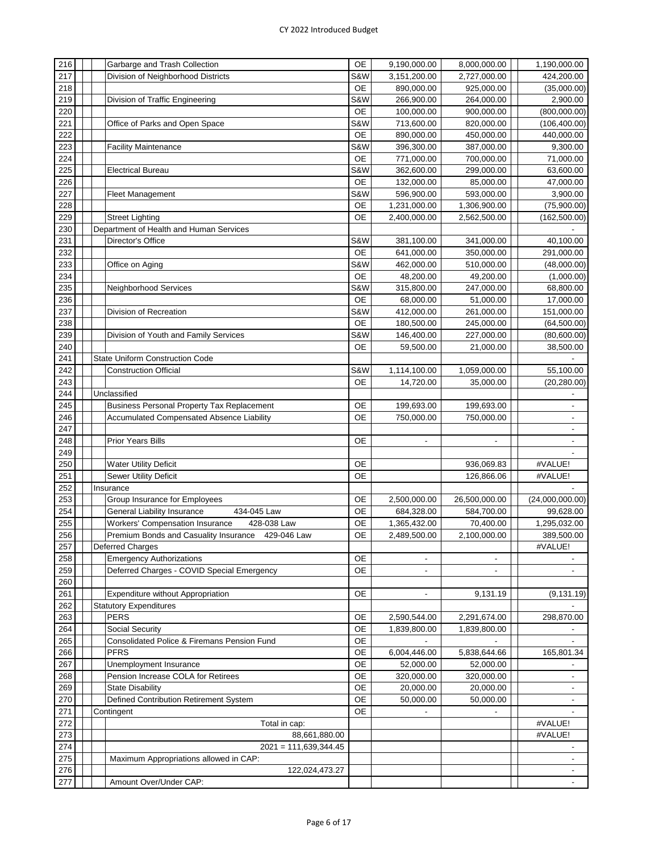| 216 |  | Garbarge and Trash Collection                         | <b>OE</b> | 9,190,000.00             | 8,000,000.00             | 1,190,000.00                 |
|-----|--|-------------------------------------------------------|-----------|--------------------------|--------------------------|------------------------------|
| 217 |  | Division of Neighborhood Districts                    | S&W       | 3,151,200.00             | 2,727,000.00             | 424,200.00                   |
| 218 |  |                                                       | OE        | 890,000.00               | 925,000.00               | (35,000.00)                  |
| 219 |  | Division of Traffic Engineering                       | S&W       | 266,900.00               | 264,000.00               | 2,900.00                     |
| 220 |  |                                                       | <b>OE</b> | 100,000.00               | 900,000.00               | (800,000.00)                 |
| 221 |  | Office of Parks and Open Space                        | S&W       | 713,600.00               | 820,000.00               | (106, 400.00)                |
| 222 |  |                                                       | <b>OE</b> | 890,000.00               | 450,000.00               | 440,000.00                   |
| 223 |  | <b>Facility Maintenance</b>                           | S&W       | 396,300.00               | 387,000.00               | 9,300.00                     |
| 224 |  |                                                       | <b>OE</b> | 771,000.00               | 700,000.00               | 71,000.00                    |
| 225 |  | <b>Electrical Bureau</b>                              | S&W       | 362,600.00               | 299,000.00               | 63,600.00                    |
| 226 |  |                                                       | <b>OE</b> | 132,000.00               | 85,000.00                | 47,000.00                    |
| 227 |  | <b>Fleet Management</b>                               | S&W       | 596,900.00               | 593,000.00               | 3,900.00                     |
| 228 |  |                                                       | OE        | 1,231,000.00             | 1,306,900.00             | (75,900.00)                  |
| 229 |  | <b>Street Lighting</b>                                | <b>OE</b> | 2,400,000.00             | 2,562,500.00             | (162, 500.00)                |
| 230 |  | Department of Health and Human Services               |           |                          |                          |                              |
| 231 |  | Director's Office                                     | S&W       | 381,100.00               | 341,000.00               | 40,100.00                    |
| 232 |  |                                                       | OE        | 641,000.00               | 350,000.00               | 291,000.00                   |
| 233 |  | Office on Aging                                       | S&W       | 462,000.00               | 510,000.00               | (48,000.00)                  |
| 234 |  |                                                       | <b>OE</b> | 48,200.00                | 49,200.00                | (1,000.00)                   |
| 235 |  | Neighborhood Services                                 | S&W       | 315,800.00               | 247,000.00               | 68,800.00                    |
| 236 |  |                                                       | <b>OE</b> | 68,000.00                | 51,000.00                | 17,000.00                    |
| 237 |  | Division of Recreation                                | S&W       | 412,000.00               | 261,000.00               | 151,000.00                   |
| 238 |  |                                                       | OE        | 180,500.00               | 245,000.00               | (64, 500.00)                 |
| 239 |  | Division of Youth and Family Services                 | S&W       | 146,400.00               | 227,000.00               | (80,600.00)                  |
| 240 |  |                                                       | <b>OE</b> | 59,500.00                | 21,000.00                | 38,500.00                    |
| 241 |  | State Uniform Construction Code                       |           |                          |                          |                              |
| 242 |  | <b>Construction Official</b>                          | S&W       | 1,114,100.00             | 1,059,000.00             | 55,100.00                    |
| 243 |  |                                                       | OE        | 14,720.00                | 35,000.00                | (20, 280.00)                 |
| 244 |  | Unclassified                                          |           |                          |                          | $\overline{a}$               |
| 245 |  | <b>Business Personal Property Tax Replacement</b>     | OE        | 199,693.00               | 199,693.00               | $\overline{a}$               |
| 246 |  | <b>Accumulated Compensated Absence Liability</b>      | <b>OE</b> | 750,000.00               | 750,000.00               | $\overline{\phantom{a}}$     |
| 247 |  |                                                       |           |                          |                          | $\overline{\phantom{a}}$     |
| 248 |  | <b>Prior Years Bills</b>                              | OE        | $\overline{\phantom{a}}$ | $\overline{\phantom{a}}$ | $\overline{\phantom{a}}$     |
| 249 |  |                                                       |           |                          |                          |                              |
| 250 |  | <b>Water Utility Deficit</b>                          | OE        |                          | 936,069.83               | #VALUE!                      |
| 251 |  | <b>Sewer Utility Deficit</b>                          | <b>OE</b> |                          | 126,866.06               | #VALUE!                      |
| 252 |  | Insurance                                             |           |                          |                          |                              |
| 253 |  | Group Insurance for Employees                         | OE        | 2,500,000.00             | 26,500,000.00            | (24,000,000.00)              |
| 254 |  | <b>General Liability Insurance</b><br>434-045 Law     | OE        | 684,328.00               | 584,700.00               | 99,628.00                    |
| 255 |  | <b>Workers' Compensation Insurance</b><br>428-038 Law | <b>OE</b> | 1,365,432.00             | 70,400.00                | 1,295,032.00                 |
| 256 |  | Premium Bonds and Casuality Insurance<br>429-046 Law  | <b>OE</b> | 2,489,500.00             | 2,100,000.00             | 389,500.00                   |
| 257 |  | <b>Deferred Charges</b>                               |           |                          |                          | #VALUE!                      |
| 258 |  | <b>Emergency Authorizations</b>                       | <b>OE</b> | $\overline{\phantom{a}}$ | $\blacksquare$           |                              |
| 259 |  | Deferred Charges - COVID Special Emergency            | <b>OE</b> | $\overline{\phantom{a}}$ |                          |                              |
| 260 |  |                                                       |           |                          |                          |                              |
| 261 |  | Expenditure without Appropriation                     | OE        | $\overline{\phantom{a}}$ | 9,131.19                 | (9, 131.19)                  |
| 262 |  | <b>Statutory Expenditures</b>                         |           |                          |                          |                              |
| 263 |  | <b>PERS</b>                                           | OE        | 2,590,544.00             | 2,291,674.00             | 298,870.00                   |
| 264 |  | Social Security                                       | OE        | 1,839,800.00             | 1,839,800.00             |                              |
| 265 |  | Consolidated Police & Firemans Pension Fund           | OE        |                          |                          | $\qquad \qquad \blacksquare$ |
| 266 |  | <b>PFRS</b>                                           | <b>OE</b> | 6,004,446.00             | 5,838,644.66             | 165,801.34                   |
| 267 |  | Unemployment Insurance                                | <b>OE</b> | 52,000.00                | 52,000.00                |                              |
| 268 |  | Pension Increase COLA for Retirees                    | <b>OE</b> | 320,000.00               | 320,000.00               |                              |
| 269 |  | <b>State Disability</b>                               | <b>OE</b> | 20,000.00                | 20,000.00                | $\overline{\phantom{a}}$     |
| 270 |  | Defined Contribution Retirement System                | OE        | 50,000.00                | 50,000.00                | $\overline{\phantom{a}}$     |
| 271 |  | Contingent                                            | <b>OE</b> |                          |                          | $\overline{\phantom{a}}$     |
| 272 |  | Total in cap:                                         |           |                          |                          | #VALUE!                      |
| 273 |  | 88,661,880.00                                         |           |                          |                          | #VALUE!                      |
| 274 |  | $2021 = 111,639,344.45$                               |           |                          |                          | $\overline{\phantom{a}}$     |
| 275 |  | Maximum Appropriations allowed in CAP:                |           |                          |                          | $\overline{\phantom{a}}$     |
| 276 |  | 122,024,473.27                                        |           |                          |                          |                              |
| 277 |  | Amount Over/Under CAP:                                |           |                          |                          |                              |
|     |  |                                                       |           |                          |                          |                              |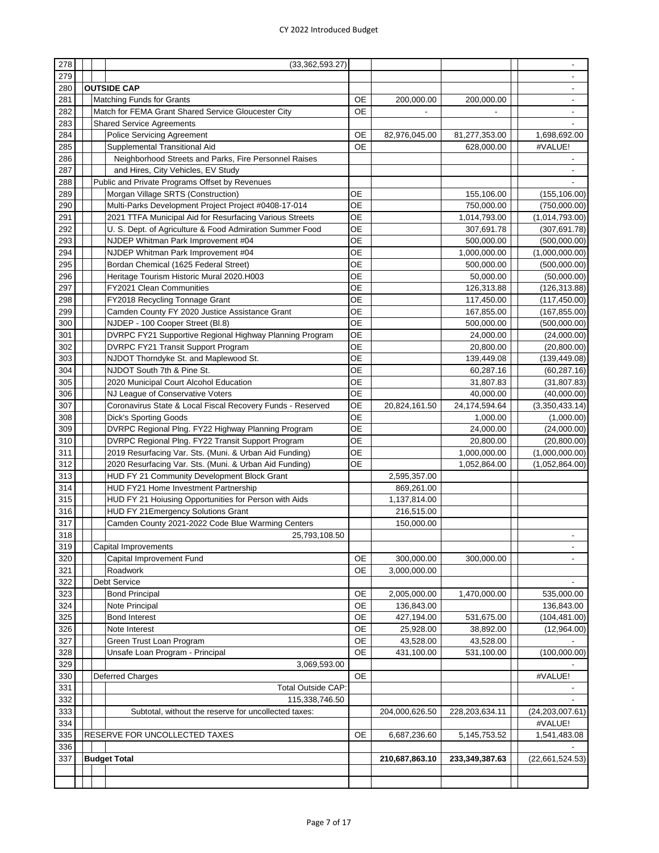| 278 |  | (33, 362, 593.27)                                          |           |                |                |                          |
|-----|--|------------------------------------------------------------|-----------|----------------|----------------|--------------------------|
| 279 |  |                                                            |           |                |                |                          |
| 280 |  | <b>OUTSIDE CAP</b>                                         |           |                |                |                          |
| 281 |  | <b>Matching Funds for Grants</b>                           | OE        | 200,000.00     | 200,000.00     |                          |
|     |  |                                                            |           |                |                |                          |
| 282 |  | Match for FEMA Grant Shared Service Gloucester City        | OE        |                |                | $\overline{\phantom{a}}$ |
| 283 |  | <b>Shared Service Agreements</b>                           |           |                |                |                          |
| 284 |  | Police Servicing Agreement                                 | OE        | 82,976,045.00  | 81,277,353.00  | 1,698,692.00             |
| 285 |  | Supplemental Transitional Aid                              | <b>OE</b> |                | 628,000.00     | #VALUE!                  |
| 286 |  | Neighborhood Streets and Parks, Fire Personnel Raises      |           |                |                |                          |
| 287 |  | and Hires, City Vehicles, EV Study                         |           |                |                | $\overline{\phantom{a}}$ |
| 288 |  | Public and Private Programs Offset by Revenues             |           |                |                |                          |
| 289 |  | Morgan Village SRTS (Construction)                         | ОE        |                | 155,106.00     | (155, 106.00)            |
| 290 |  | Multi-Parks Development Project Project #0408-17-014       | <b>OE</b> |                | 750,000.00     | (750,000.00)             |
| 291 |  | 2021 TTFA Municipal Aid for Resurfacing Various Streets    | <b>OE</b> |                | 1,014,793.00   | (1,014,793.00)           |
| 292 |  | U. S. Dept. of Agriculture & Food Admiration Summer Food   | <b>OE</b> |                | 307,691.78     | (307, 691.78)            |
| 293 |  | NJDEP Whitman Park Improvement #04                         | <b>OE</b> |                | 500,000.00     | (500,000.00)             |
| 294 |  | NJDEP Whitman Park Improvement #04                         | <b>OE</b> |                | 1,000,000.00   | (1,000,000.00)           |
| 295 |  | Bordan Chemical (1625 Federal Street)                      | <b>OE</b> |                | 500,000.00     | (500,000.00)             |
| 296 |  | Heritage Tourism Historic Mural 2020.H003                  | ОE        |                | 50,000.00      | (50,000.00)              |
| 297 |  | FY2021 Clean Communities                                   | OЕ        |                | 126,313.88     |                          |
|     |  |                                                            |           |                |                | (126, 313.88)            |
| 298 |  | FY2018 Recycling Tonnage Grant                             | <b>OE</b> |                | 117,450.00     | (117, 450.00)            |
| 299 |  | Camden County FY 2020 Justice Assistance Grant             | <b>OE</b> |                | 167,855.00     | (167, 855.00)            |
| 300 |  | NJDEP - 100 Cooper Street (Bl.8)                           | <b>OE</b> |                | 500,000.00     | (500,000.00)             |
| 301 |  | DVRPC FY21 Supportive Regional Highway Planning Program    | OE        |                | 24,000.00      | (24,000.00)              |
| 302 |  | DVRPC FY21 Transit Support Program                         | <b>OE</b> |                | 20,800.00      | (20, 800.00)             |
| 303 |  | NJDOT Thorndyke St. and Maplewood St.                      | <b>OE</b> |                | 139,449.08     | (139, 449.08)            |
| 304 |  | NJDOT South 7th & Pine St.                                 | <b>OE</b> |                | 60,287.16      | (60, 287.16)             |
| 305 |  | 2020 Municipal Court Alcohol Education                     | <b>OE</b> |                | 31,807.83      | (31, 807.83)             |
| 306 |  | NJ League of Conservative Voters                           | <b>OE</b> |                | 40,000.00      | (40,000.00)              |
| 307 |  | Coronavirus State & Local Fiscal Recovery Funds - Reserved | <b>OE</b> | 20,824,161.50  | 24,174,594.64  | (3,350,433.14)           |
| 308 |  | <b>Dick's Sporting Goods</b>                               | <b>OE</b> |                | 1,000.00       | (1,000.00)               |
| 309 |  | DVRPC Regional Plng. FY22 Highway Planning Program         | <b>OE</b> |                | 24,000.00      | (24,000.00)              |
| 310 |  | DVRPC Regional Plng. FY22 Transit Support Program          | <b>OE</b> |                | 20,800.00      | (20, 800.00)             |
| 311 |  | 2019 Resurfacing Var. Sts. (Muni. & Urban Aid Funding)     | <b>OE</b> |                | 1,000,000.00   | (1,000,000.00)           |
| 312 |  | 2020 Resurfacing Var. Sts. (Muni. & Urban Aid Funding)     | ОE        |                | 1,052,864.00   | (1,052,864.00)           |
| 313 |  | HUD FY 21 Community Development Block Grant                |           | 2,595,357.00   |                |                          |
|     |  |                                                            |           |                |                |                          |
| 314 |  | HUD FY21 Home Investment Partnership                       |           | 869,261.00     |                |                          |
| 315 |  | HUD FY 21 Hoiusing Opportunities for Person with Aids      |           | 1,137,814.00   |                |                          |
| 316 |  | HUD FY 21 Emergency Solutions Grant                        |           | 216,515.00     |                |                          |
| 317 |  | Camden County 2021-2022 Code Blue Warming Centers          |           | 150,000.00     |                |                          |
| 318 |  | 25,793,108.50                                              |           |                |                |                          |
| 319 |  | Capital Improvements                                       |           |                |                | $\overline{\phantom{a}}$ |
| 320 |  | Capital Improvement Fund                                   | <b>OE</b> | 300,000.00     | 300,000.00     |                          |
| 321 |  | Roadwork                                                   | OE        | 3,000,000.00   |                |                          |
| 322 |  | Debt Service                                               |           |                |                |                          |
| 323 |  | <b>Bond Principal</b>                                      | OE        | 2,005,000.00   | 1,470,000.00   | 535,000.00               |
| 324 |  | Note Principal                                             | OE        | 136,843.00     |                | 136,843.00               |
| 325 |  | <b>Bond Interest</b>                                       | OE        | 427,194.00     | 531,675.00     | (104, 481.00)            |
| 326 |  | Note Interest                                              | <b>OE</b> | 25,928.00      | 38,892.00      | (12,964.00)              |
| 327 |  | Green Trust Loan Program                                   | <b>OE</b> | 43,528.00      | 43,528.00      |                          |
| 328 |  | Unsafe Loan Program - Principal                            | OE        | 431,100.00     | 531,100.00     | (100,000.00)             |
| 329 |  | 3,069,593.00                                               |           |                |                |                          |
|     |  |                                                            |           |                |                | #VALUE!                  |
| 330 |  | Deferred Charges                                           | OE        |                |                |                          |
| 331 |  | Total Outside CAP:                                         |           |                |                |                          |
| 332 |  | 115,338,746.50                                             |           |                |                |                          |
| 333 |  | Subtotal, without the reserve for uncollected taxes:       |           | 204,000,626.50 | 228,203,634.11 | (24, 203, 007.61)        |
| 334 |  |                                                            |           |                |                | #VALUE!                  |
| 335 |  | RESERVE FOR UNCOLLECTED TAXES                              | OE        | 6,687,236.60   | 5,145,753.52   | 1,541,483.08             |
| 336 |  |                                                            |           |                |                |                          |
| 337 |  | <b>Budget Total</b>                                        |           | 210,687,863.10 | 233,349,387.63 | (22,661,524.53)          |
|     |  |                                                            |           |                |                |                          |
|     |  |                                                            |           |                |                |                          |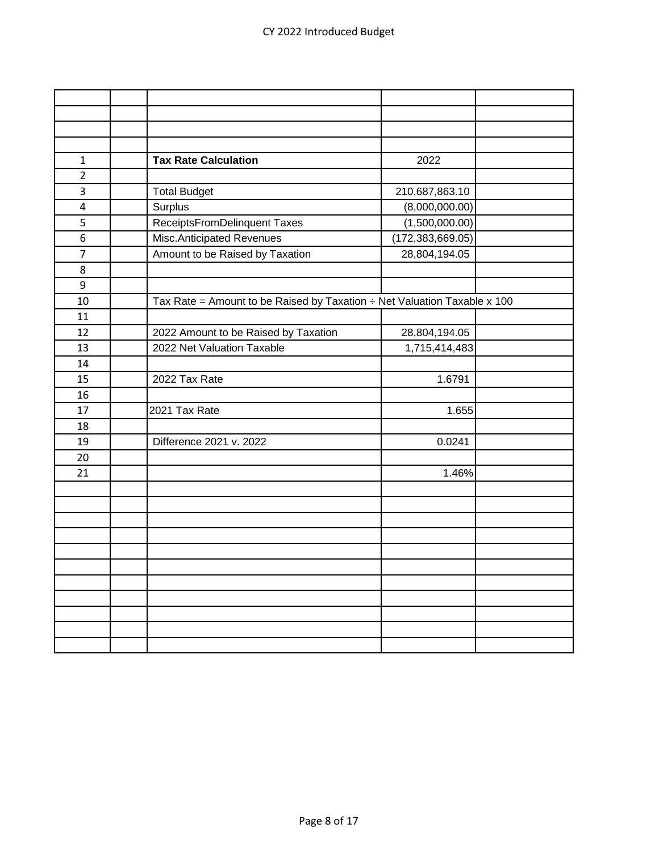| $\mathbf{1}$   | <b>Tax Rate Calculation</b>                                                   | 2022               |  |
|----------------|-------------------------------------------------------------------------------|--------------------|--|
| $\overline{2}$ |                                                                               |                    |  |
| 3              | <b>Total Budget</b>                                                           | 210,687,863.10     |  |
| 4              | Surplus                                                                       | (8,000,000.00)     |  |
| 5              | ReceiptsFromDelinquent Taxes                                                  | (1,500,000.00)     |  |
| 6              | Misc.Anticipated Revenues                                                     | (172, 383, 669.05) |  |
| $\overline{7}$ | Amount to be Raised by Taxation                                               | 28,804,194.05      |  |
| 8              |                                                                               |                    |  |
| 9              |                                                                               |                    |  |
| 10             | Tax Rate = Amount to be Raised by Taxation $\div$ Net Valuation Taxable x 100 |                    |  |
| 11             |                                                                               |                    |  |
| 12             | 2022 Amount to be Raised by Taxation                                          | 28,804,194.05      |  |
| 13             | 2022 Net Valuation Taxable                                                    | 1,715,414,483      |  |
| 14             |                                                                               |                    |  |
| 15             | 2022 Tax Rate                                                                 | 1.6791             |  |
| 16             |                                                                               |                    |  |
| 17             | 2021 Tax Rate                                                                 | 1.655              |  |
| 18             |                                                                               |                    |  |
| 19             | Difference 2021 v. 2022                                                       | 0.0241             |  |
| 20             |                                                                               |                    |  |
| 21             |                                                                               | 1.46%              |  |
|                |                                                                               |                    |  |
|                |                                                                               |                    |  |
|                |                                                                               |                    |  |
|                |                                                                               |                    |  |
|                |                                                                               |                    |  |
|                |                                                                               |                    |  |
|                |                                                                               |                    |  |
|                |                                                                               |                    |  |
|                |                                                                               |                    |  |
|                |                                                                               |                    |  |
|                |                                                                               |                    |  |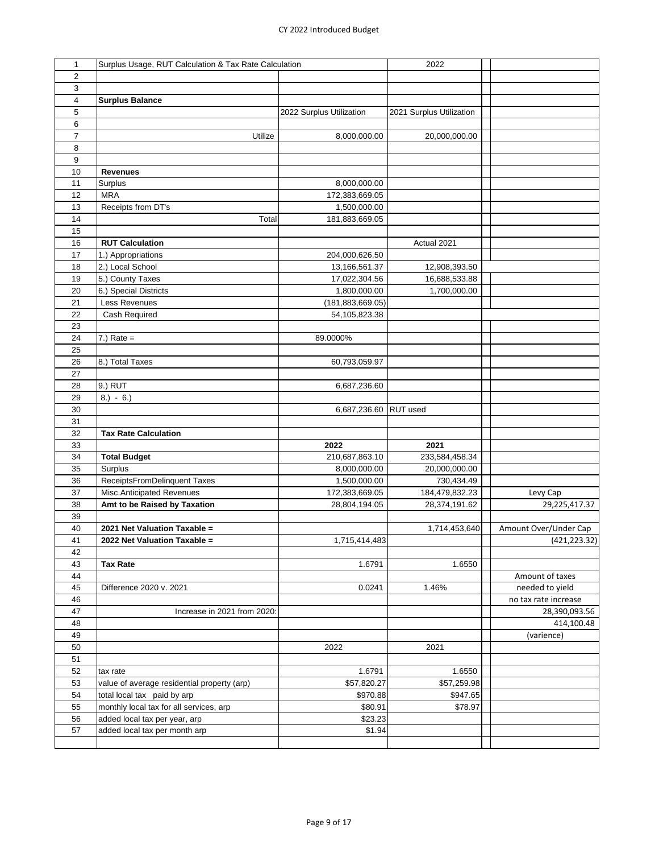## CY 2022 Introduced Budget

| 1              | Surplus Usage, RUT Calculation & Tax Rate Calculation |                          | 2022                     |                       |
|----------------|-------------------------------------------------------|--------------------------|--------------------------|-----------------------|
| $\overline{2}$ |                                                       |                          |                          |                       |
| 3              |                                                       |                          |                          |                       |
|                |                                                       |                          |                          |                       |
| 4              | <b>Surplus Balance</b>                                |                          |                          |                       |
| 5              |                                                       | 2022 Surplus Utilization | 2021 Surplus Utilization |                       |
| 6              |                                                       |                          |                          |                       |
| 7              | Utilize                                               | 8,000,000.00             | 20,000,000.00            |                       |
| 8              |                                                       |                          |                          |                       |
| 9              |                                                       |                          |                          |                       |
| 10             | <b>Revenues</b>                                       |                          |                          |                       |
| 11             | Surplus                                               | 8,000,000.00             |                          |                       |
| 12             | <b>MRA</b>                                            | 172,383,669.05           |                          |                       |
| 13             | Receipts from DT's                                    | 1,500,000.00             |                          |                       |
| 14             | Total                                                 | 181,883,669.05           |                          |                       |
| 15             |                                                       |                          |                          |                       |
| 16             | <b>RUT Calculation</b>                                |                          | Actual 2021              |                       |
| 17             | 1.) Appropriations                                    | 204,000,626.50           |                          |                       |
|                |                                                       |                          |                          |                       |
| 18             | 2.) Local School                                      | 13,166,561.37            | 12,908,393.50            |                       |
| 19             | 5.) County Taxes                                      | 17,022,304.56            | 16,688,533.88            |                       |
| 20             | 6.) Special Districts                                 | 1,800,000.00             | 1,700,000.00             |                       |
| 21             | Less Revenues                                         | (181, 883, 669.05)       |                          |                       |
| 22             | Cash Required                                         | 54,105,823.38            |                          |                       |
| 23             |                                                       |                          |                          |                       |
| 24             | $7.)$ Rate =                                          | 89.0000%                 |                          |                       |
| 25             |                                                       |                          |                          |                       |
| 26             | 8.) Total Taxes                                       | 60,793,059.97            |                          |                       |
| 27             |                                                       |                          |                          |                       |
| 28             | 9.) RUT                                               | 6,687,236.60             |                          |                       |
| 29             | $8.) - 6.)$                                           |                          |                          |                       |
| 30             |                                                       | 6,687,236.60 RUT used    |                          |                       |
|                |                                                       |                          |                          |                       |
| 31             |                                                       |                          |                          |                       |
| 32             | <b>Tax Rate Calculation</b>                           |                          |                          |                       |
| 33             |                                                       | 2022                     | 2021                     |                       |
| 34             | <b>Total Budget</b>                                   | 210,687,863.10           | 233,584,458.34           |                       |
| 35             | Surplus                                               | 8,000,000.00             | 20,000,000.00            |                       |
| 36             | ReceiptsFromDelinquent Taxes                          | 1,500,000.00             | 730,434.49               |                       |
| 37             | Misc.Anticipated Revenues                             | 172,383,669.05           | 184,479,832.23           | Levy Cap              |
| 38             | Amt to be Raised by Taxation                          | 28,804,194.05            | 28,374,191.62            | 29,225,417.37         |
| 39             |                                                       |                          |                          |                       |
| 40             | 2021 Net Valuation Taxable =                          |                          | 1,714,453,640            | Amount Over/Under Cap |
| 41             | 2022 Net Valuation Taxable =                          | 1,715,414,483            |                          | (421, 223.32)         |
| 42             |                                                       |                          |                          |                       |
| 43             | <b>Tax Rate</b>                                       | 1.6791                   | 1.6550                   |                       |
| 44             |                                                       |                          |                          | Amount of taxes       |
|                |                                                       |                          |                          |                       |
| 45             | Difference 2020 v. 2021                               | 0.0241                   | 1.46%                    | needed to yield       |
| 46             |                                                       |                          |                          | no tax rate increase  |
| 47             | Increase in 2021 from 2020:                           |                          |                          | 28,390,093.56         |
| 48             |                                                       |                          |                          | 414,100.48            |
| 49             |                                                       |                          |                          | (varience)            |
| 50             |                                                       | 2022                     | 2021                     |                       |
| 51             |                                                       |                          |                          |                       |
| 52             | tax rate                                              | 1.6791                   | 1.6550                   |                       |
| 53             | value of average residential property (arp)           | \$57,820.27              | \$57,259.98              |                       |
| 54             | total local tax paid by arp                           | \$970.88                 | \$947.65                 |                       |
| 55             | monthly local tax for all services, arp               | \$80.91                  | \$78.97                  |                       |
| 56             | added local tax per year, arp                         | \$23.23                  |                          |                       |
| 57             | added local tax per month arp                         | \$1.94                   |                          |                       |
|                |                                                       |                          |                          |                       |
|                |                                                       |                          |                          |                       |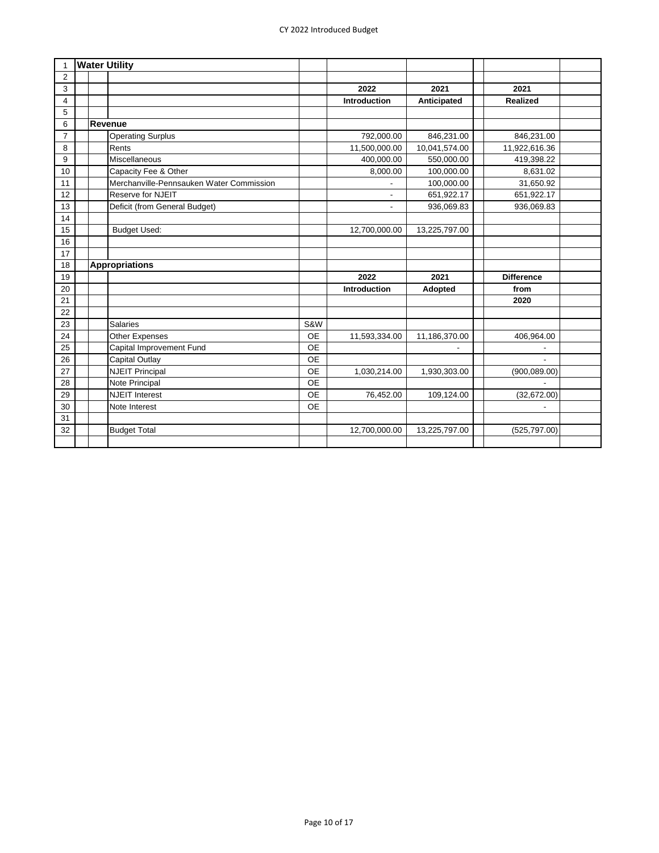| 1              |  | <b>Water Utility</b>                     |           |                     |               |                   |  |
|----------------|--|------------------------------------------|-----------|---------------------|---------------|-------------------|--|
| $\overline{2}$ |  |                                          |           |                     |               |                   |  |
| 3              |  |                                          |           | 2022                | 2021          | 2021              |  |
| 4              |  |                                          |           | <b>Introduction</b> | Anticipated   | Realized          |  |
| 5              |  |                                          |           |                     |               |                   |  |
| 6              |  | Revenue                                  |           |                     |               |                   |  |
| $\overline{7}$ |  | <b>Operating Surplus</b>                 |           | 792,000.00          | 846,231.00    | 846,231.00        |  |
| 8              |  | Rents                                    |           | 11,500,000.00       | 10,041,574.00 | 11,922,616.36     |  |
| 9              |  | Miscellaneous                            |           | 400,000.00          | 550,000.00    | 419,398.22        |  |
| 10             |  | Capacity Fee & Other                     |           | 8,000.00            | 100,000.00    | 8,631.02          |  |
| 11             |  | Merchanville-Pennsauken Water Commission |           |                     | 100,000.00    | 31,650.92         |  |
| 12             |  | Reserve for NJEIT                        |           | $\blacksquare$      | 651,922.17    | 651,922.17        |  |
| 13             |  | Deficit (from General Budget)            |           | $\overline{a}$      | 936,069.83    | 936,069.83        |  |
| 14             |  |                                          |           |                     |               |                   |  |
| 15             |  | <b>Budget Used:</b>                      |           | 12,700,000.00       | 13,225,797.00 |                   |  |
| 16             |  |                                          |           |                     |               |                   |  |
| 17             |  |                                          |           |                     |               |                   |  |
| 18             |  | <b>Appropriations</b>                    |           |                     |               |                   |  |
| 19             |  |                                          |           | 2022                | 2021          | <b>Difference</b> |  |
| 20             |  |                                          |           | Introduction        | Adopted       | from              |  |
| 21             |  |                                          |           |                     |               | 2020              |  |
| 22             |  |                                          |           |                     |               |                   |  |
| 23             |  | <b>Salaries</b>                          | S&W       |                     |               |                   |  |
| 24             |  | <b>Other Expenses</b>                    | <b>OE</b> | 11,593,334.00       | 11,186,370.00 | 406,964.00        |  |
| 25             |  | Capital Improvement Fund                 | <b>OE</b> |                     |               |                   |  |
| 26             |  | Capital Outlay                           | <b>OE</b> |                     |               |                   |  |
| 27             |  | <b>NJEIT Principal</b>                   | <b>OE</b> | 1,030,214.00        | 1,930,303.00  | (900, 089.00)     |  |
| 28             |  | Note Principal                           | <b>OE</b> |                     |               |                   |  |
| 29             |  | <b>NJEIT Interest</b>                    | <b>OE</b> | 76,452.00           | 109,124.00    | (32,672.00)       |  |
| 30             |  | Note Interest                            | <b>OE</b> |                     |               |                   |  |
| 31             |  |                                          |           |                     |               |                   |  |
| 32             |  | <b>Budget Total</b>                      |           | 12,700,000.00       | 13,225,797.00 | (525, 797.00)     |  |
|                |  |                                          |           |                     |               |                   |  |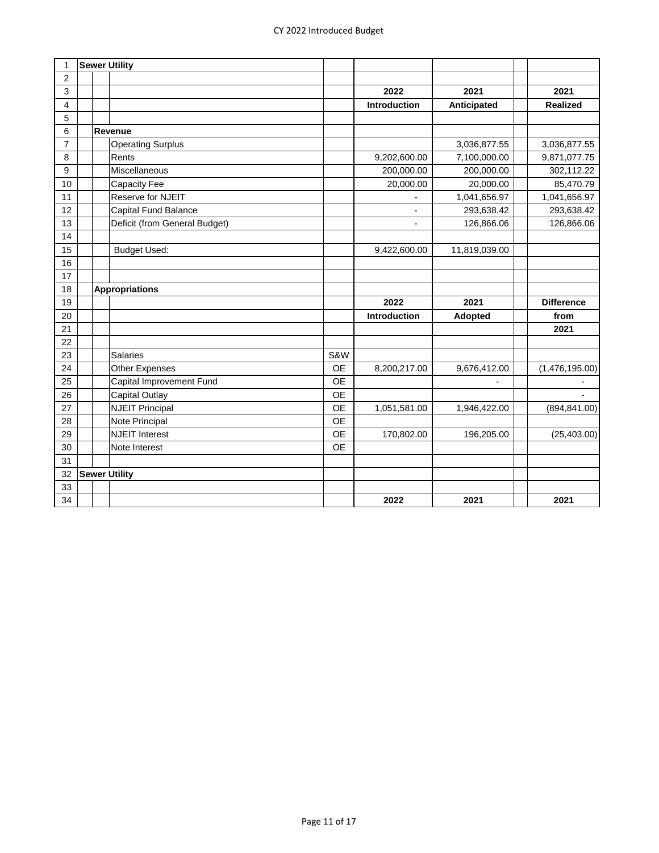| 1              |  | <b>Sewer Utility</b>          |           |                          |                |                   |
|----------------|--|-------------------------------|-----------|--------------------------|----------------|-------------------|
| $\overline{2}$ |  |                               |           |                          |                |                   |
| 3              |  |                               |           | 2022                     | 2021           | 2021              |
| 4              |  |                               |           | Introduction             | Anticipated    | Realized          |
| 5              |  |                               |           |                          |                |                   |
| 6              |  | Revenue                       |           |                          |                |                   |
| $\overline{7}$ |  | <b>Operating Surplus</b>      |           |                          | 3,036,877.55   | 3,036,877.55      |
| 8              |  | Rents                         |           | 9,202,600.00             | 7,100,000.00   | 9,871,077.75      |
| 9              |  | Miscellaneous                 |           | 200,000.00               | 200,000.00     | 302,112.22        |
| 10             |  | Capacity Fee                  |           | 20,000.00                | 20,000.00      | 85,470.79         |
| 11             |  | Reserve for NJEIT             |           |                          | 1,041,656.97   | 1,041,656.97      |
| 12             |  | Capital Fund Balance          |           |                          | 293,638.42     | 293,638.42        |
| 13             |  | Deficit (from General Budget) |           | $\overline{\phantom{a}}$ | 126,866.06     | 126,866.06        |
| 14             |  |                               |           |                          |                |                   |
| 15             |  | <b>Budget Used:</b>           |           | 9,422,600.00             | 11,819,039.00  |                   |
| 16             |  |                               |           |                          |                |                   |
| 17             |  |                               |           |                          |                |                   |
| 18             |  | <b>Appropriations</b>         |           |                          |                |                   |
| 19             |  |                               |           | 2022                     | 2021           | <b>Difference</b> |
| 20             |  |                               |           | Introduction             | <b>Adopted</b> | from              |
| 21             |  |                               |           |                          |                | 2021              |
| 22             |  |                               |           |                          |                |                   |
| 23             |  | <b>Salaries</b>               | S&W       |                          |                |                   |
| 24             |  | Other Expenses                | OE        | 8,200,217.00             | 9,676,412.00   | (1,476,195.00)    |
| 25             |  | Capital Improvement Fund      | <b>OE</b> |                          |                |                   |
| 26             |  | <b>Capital Outlay</b>         | <b>OE</b> |                          |                |                   |
| 27             |  | <b>NJEIT Principal</b>        | <b>OE</b> | 1,051,581.00             | 1,946,422.00   | (894, 841.00)     |
| 28             |  | Note Principal                | <b>OE</b> |                          |                |                   |
| 29             |  | <b>NJEIT Interest</b>         | <b>OE</b> | 170,802.00               | 196,205.00     | (25, 403.00)      |
| 30             |  | Note Interest                 | <b>OE</b> |                          |                |                   |
| 31             |  |                               |           |                          |                |                   |
| 32             |  | <b>Sewer Utility</b>          |           |                          |                |                   |
| 33             |  |                               |           |                          |                |                   |
| 34             |  |                               |           | 2022                     | 2021           | 2021              |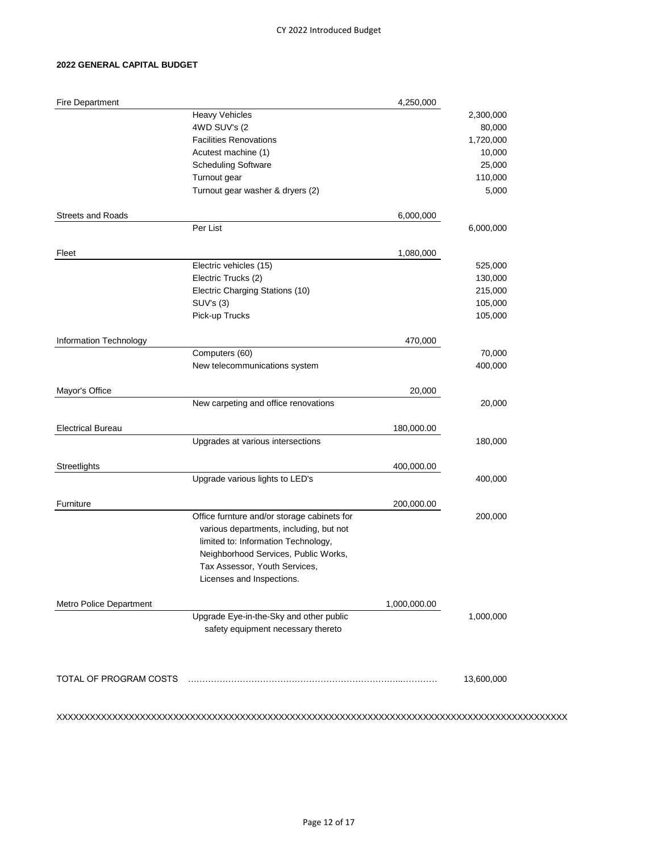## **2022 GENERAL CAPITAL BUDGET**

| <b>Fire Department</b>   |                                             | 4,250,000    |            |
|--------------------------|---------------------------------------------|--------------|------------|
|                          | <b>Heavy Vehicles</b>                       |              | 2,300,000  |
|                          | 4WD SUV's (2                                |              | 80,000     |
|                          | <b>Facilities Renovations</b>               |              | 1,720,000  |
|                          | Acutest machine (1)                         |              | 10,000     |
|                          | <b>Scheduling Software</b>                  |              | 25,000     |
|                          | Turnout gear                                |              | 110,000    |
|                          | Turnout gear washer & dryers (2)            |              | 5,000      |
| <b>Streets and Roads</b> |                                             | 6,000,000    |            |
|                          | Per List                                    |              | 6,000,000  |
| Fleet                    |                                             | 1,080,000    |            |
|                          | Electric vehicles (15)                      |              | 525,000    |
|                          | Electric Trucks (2)                         |              | 130,000    |
|                          | Electric Charging Stations (10)             |              | 215,000    |
|                          | SUV's (3)                                   |              | 105,000    |
|                          | Pick-up Trucks                              |              | 105,000    |
| Information Technology   |                                             | 470,000      |            |
|                          | Computers (60)                              |              | 70,000     |
|                          | New telecommunications system               |              | 400,000    |
| Mayor's Office           |                                             | 20,000       |            |
|                          | New carpeting and office renovations        |              | 20,000     |
| <b>Electrical Bureau</b> |                                             | 180,000.00   |            |
|                          | Upgrades at various intersections           |              | 180,000    |
|                          |                                             |              |            |
| Streetlights             | Upgrade various lights to LED's             | 400,000.00   | 400,000    |
|                          |                                             |              |            |
| Furniture                |                                             | 200,000.00   |            |
|                          | Office furnture and/or storage cabinets for |              | 200,000    |
|                          | various departments, including, but not     |              |            |
|                          | limited to: Information Technology,         |              |            |
|                          | Neighborhood Services, Public Works,        |              |            |
|                          | Tax Assessor, Youth Services,               |              |            |
|                          | Licenses and Inspections.                   |              |            |
| Metro Police Department  |                                             | 1,000,000.00 |            |
|                          | Upgrade Eye-in-the-Sky and other public     |              | 1,000,000  |
|                          | safety equipment necessary thereto          |              |            |
|                          |                                             |              |            |
| TOTAL OF PROGRAM COSTS   |                                             |              |            |
|                          |                                             |              | 13,600,000 |
|                          |                                             |              |            |

XXXXXXXXXXXXXXXXXXXXXXXXXXXXXXXXXXXXXXXXXXXXXXXXXXXXXXXXXXXXXXXXXXXXXXXXXXXXXXXXXXXXXXXXXXXX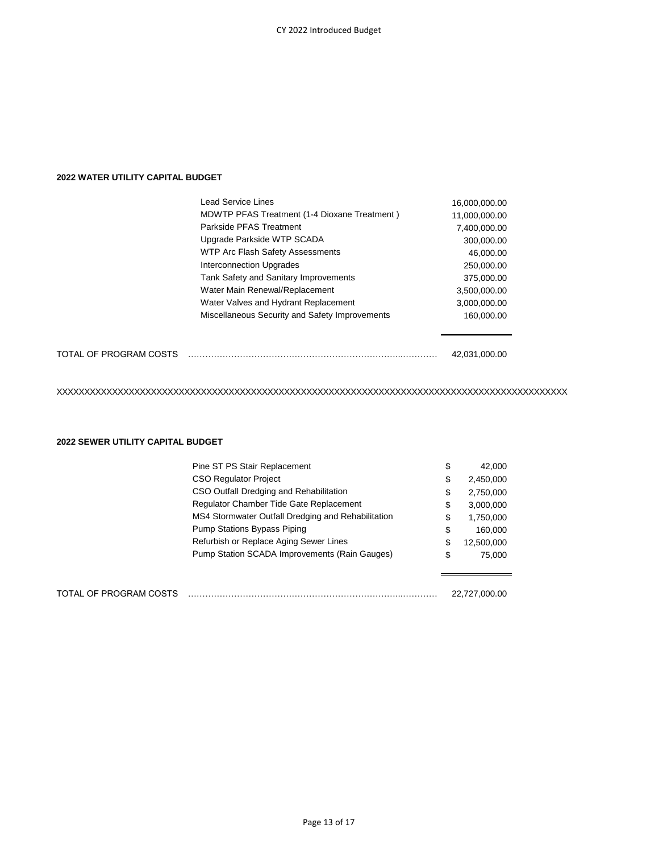# **2022 WATER UTILITY CAPITAL BUDGET**

|                        | Lead Service Lines                                  | 16,000,000.00 |
|------------------------|-----------------------------------------------------|---------------|
|                        | <b>MDWTP PFAS Treatment (1-4 Dioxane Treatment)</b> | 11,000,000.00 |
|                        | Parkside PFAS Treatment                             | 7,400,000.00  |
|                        | Upgrade Parkside WTP SCADA                          | 300,000.00    |
|                        | WTP Arc Flash Safety Assessments                    | 46,000.00     |
|                        | <b>Interconnection Upgrades</b>                     | 250,000.00    |
|                        | Tank Safety and Sanitary Improvements               | 375,000.00    |
|                        | Water Main Renewal/Replacement                      | 3,500,000.00  |
|                        | Water Valves and Hydrant Replacement                | 3,000,000.00  |
|                        | Miscellaneous Security and Safety Improvements      | 160.000.00    |
| TOTAL OF PROGRAM COSTS |                                                     | 42.031.000.00 |

XXXXXXXXXXXXXXXXXXXXXXXXXXXXXXXXXXXXXXXXXXXXXXXXXXXXXXXXXXXXXXXXXXXXXXXXXXXXXXXXXXXXXXXXXXXX

### **2022 SEWER UTILITY CAPITAL BUDGET**

| Pine ST PS Stair Replacement                       | \$<br>42,000     |
|----------------------------------------------------|------------------|
| <b>CSO Regulator Project</b>                       | \$<br>2,450,000  |
| CSO Outfall Dredging and Rehabilitation            | \$<br>2,750,000  |
| Regulator Chamber Tide Gate Replacement            | \$<br>3,000,000  |
| MS4 Stormwater Outfall Dredging and Rehabilitation | \$<br>1,750,000  |
| Pump Stations Bypass Piping                        | \$<br>160,000    |
| Refurbish or Replace Aging Sewer Lines             | \$<br>12,500,000 |
| Pump Station SCADA Improvements (Rain Gauges)      | \$<br>75,000     |
|                                                    |                  |
|                                                    |                  |

| TOTAL OF PROGRAM COSTS |  | 22.727.000.00 |
|------------------------|--|---------------|
|------------------------|--|---------------|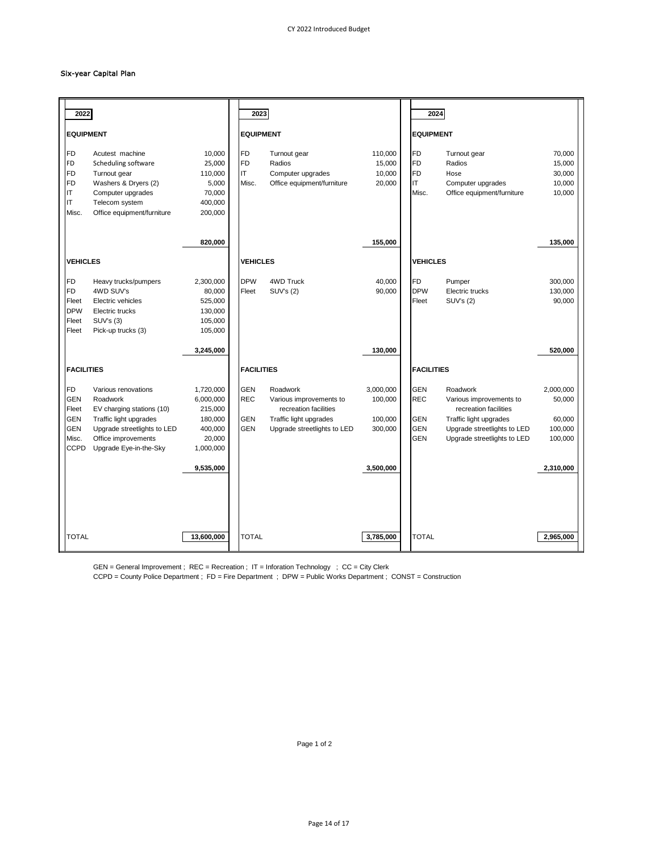#### Six-year Capital Plan

| 2022                                                                                                                                                                                                                                                           |                                                                                | 2023                                                 |                                                                                                                       |                                            | 2024                                                               |                                                                                                                                                      |                                                     |
|----------------------------------------------------------------------------------------------------------------------------------------------------------------------------------------------------------------------------------------------------------------|--------------------------------------------------------------------------------|------------------------------------------------------|-----------------------------------------------------------------------------------------------------------------------|--------------------------------------------|--------------------------------------------------------------------|------------------------------------------------------------------------------------------------------------------------------------------------------|-----------------------------------------------------|
| <b>EQUIPMENT</b>                                                                                                                                                                                                                                               |                                                                                | <b>EQUIPMENT</b>                                     |                                                                                                                       |                                            | <b>EQUIPMENT</b>                                                   |                                                                                                                                                      |                                                     |
| <b>FD</b><br>Acutest machine<br>FD<br>Scheduling software<br><b>FD</b><br>Turnout gear<br>FD<br>Washers & Dryers (2)<br>IT<br>Computer upgrades<br>ΙT<br>Telecom system<br>Misc.<br>Office equipment/furniture                                                 | 10,000<br>25,000<br>110,000<br>5,000<br>70,000<br>400,000<br>200,000           | <b>FD</b><br><b>FD</b><br>IT<br>Misc.                | Turnout gear<br>Radios<br>Computer upgrades<br>Office equipment/furniture                                             | 110,000<br>15,000<br>10,000<br>20,000      | <b>FD</b><br><b>FD</b><br><b>FD</b><br>IT<br>Misc.                 | Turnout gear<br>Radios<br>Hose<br>Computer upgrades<br>Office equipment/furniture                                                                    | 70,000<br>15,000<br>30,000<br>10,000<br>10,000      |
|                                                                                                                                                                                                                                                                | 820,000                                                                        |                                                      |                                                                                                                       | 155,000                                    |                                                                    |                                                                                                                                                      | 135,000                                             |
| <b>VEHICLES</b>                                                                                                                                                                                                                                                |                                                                                | <b>VEHICLES</b>                                      |                                                                                                                       |                                            | <b>VEHICLES</b>                                                    |                                                                                                                                                      |                                                     |
| FD<br>Heavy trucks/pumpers<br><b>FD</b><br>4WD SUV's<br>Fleet<br>Electric vehicles<br><b>DPW</b><br>Electric trucks<br><b>SUV's (3)</b><br>Fleet<br>Pick-up trucks (3)<br>Fleet                                                                                | 2,300,000<br>80,000<br>525,000<br>130,000<br>105,000<br>105,000                | <b>DPW</b><br>Fleet                                  | <b>4WD Truck</b><br>SUV's (2)                                                                                         | 40,000<br>90,000                           | <b>FD</b><br><b>DPW</b><br>Fleet                                   | Pumper<br>Electric trucks<br>SUV's (2)                                                                                                               | 300,000<br>130,000<br>90,000                        |
|                                                                                                                                                                                                                                                                | 3,245,000                                                                      |                                                      |                                                                                                                       | 130,000                                    |                                                                    |                                                                                                                                                      | 520,000                                             |
| <b>FACILITIES</b>                                                                                                                                                                                                                                              |                                                                                | <b>FACILITIES</b>                                    |                                                                                                                       |                                            | <b>FACILITIES</b>                                                  |                                                                                                                                                      |                                                     |
| <b>FD</b><br>Various renovations<br><b>GEN</b><br>Roadwork<br>Fleet<br>EV charging stations (10)<br><b>GEN</b><br>Traffic light upgrades<br><b>GEN</b><br>Upgrade streetlights to LED<br>Office improvements<br>Misc.<br><b>CCPD</b><br>Upgrade Eye-in-the-Sky | 1,720,000<br>6,000,000<br>215,000<br>180,000<br>400,000<br>20,000<br>1,000,000 | <b>GEN</b><br><b>REC</b><br><b>GEN</b><br><b>GEN</b> | Roadwork<br>Various improvements to<br>recreation facilities<br>Traffic light upgrades<br>Upgrade streetlights to LED | 3,000,000<br>100,000<br>100,000<br>300,000 | <b>GEN</b><br><b>REC</b><br><b>GEN</b><br><b>GEN</b><br><b>GEN</b> | Roadwork<br>Various improvements to<br>recreation facilities<br>Traffic light upgrades<br>Upgrade streetlights to LED<br>Upgrade streetlights to LED | 2,000,000<br>50,000<br>60,000<br>100,000<br>100,000 |
|                                                                                                                                                                                                                                                                | 9,535,000                                                                      |                                                      |                                                                                                                       | 3.500.000                                  |                                                                    |                                                                                                                                                      | 2,310,000                                           |
|                                                                                                                                                                                                                                                                |                                                                                |                                                      |                                                                                                                       |                                            |                                                                    |                                                                                                                                                      |                                                     |
|                                                                                                                                                                                                                                                                |                                                                                |                                                      |                                                                                                                       |                                            |                                                                    |                                                                                                                                                      |                                                     |
| <b>TOTAL</b>                                                                                                                                                                                                                                                   | 13,600,000                                                                     | <b>TOTAL</b>                                         |                                                                                                                       | 3,785,000                                  | <b>TOTAL</b>                                                       |                                                                                                                                                      | 2,965,000                                           |

GEN = General Improvement ; REC = Recreation ; IT = Inforation Technology ; CC = City Clerk

CCPD = County Police Department ; FD = Fire Department ; DPW = Public Works Department ; CONST = Construction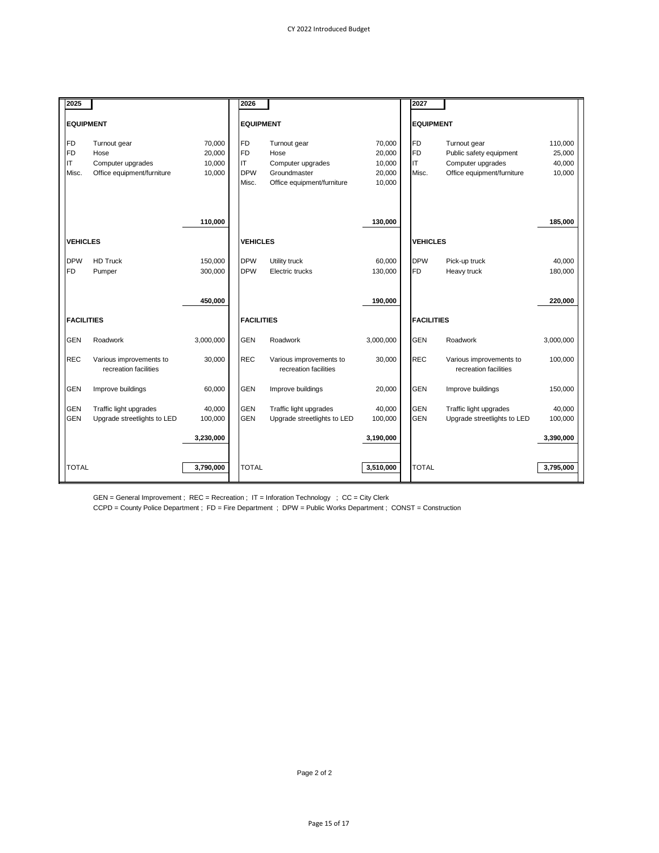| 2025                     |                             |           | 2026                     |                             |           | 2027                     |                             |           |
|--------------------------|-----------------------------|-----------|--------------------------|-----------------------------|-----------|--------------------------|-----------------------------|-----------|
| <b>EQUIPMENT</b>         |                             |           | <b>EQUIPMENT</b>         |                             |           | <b>EQUIPMENT</b>         |                             |           |
|                          |                             |           |                          |                             |           |                          |                             |           |
| <b>FD</b>                | Turnout gear                | 70.000    | FD                       | Turnout gear                | 70,000    | <b>FD</b>                | Turnout gear                | 110,000   |
| FD                       | Hose                        | 20,000    | FD                       | Hose                        | 20,000    | <b>FD</b>                | Public safety equipment     | 25,000    |
| IT                       | Computer upgrades           | 10,000    | IIT                      | Computer upgrades           | 10,000    | <b>IT</b>                | Computer upgrades           | 40,000    |
| Misc.                    | Office equipment/furniture  | 10,000    | <b>DPW</b>               | Groundmaster                | 20,000    | Misc.                    | Office equipment/furniture  | 10,000    |
|                          |                             |           | Misc.                    | Office equipment/furniture  | 10,000    |                          |                             |           |
|                          |                             |           |                          |                             |           |                          |                             |           |
|                          |                             |           |                          |                             |           |                          |                             |           |
|                          |                             | 110,000   |                          |                             | 130,000   |                          |                             | 185,000   |
|                          |                             |           |                          |                             |           |                          |                             |           |
| <b>VEHICLES</b>          |                             |           | <b>VEHICLES</b>          |                             |           | <b>VEHICLES</b>          |                             |           |
| <b>DPW</b>               | <b>HD Truck</b>             | 150,000   | <b>DPW</b>               | Utility truck               | 60,000    | <b>DPW</b>               | Pick-up truck               | 40,000    |
| <b>FD</b>                | Pumper                      | 300,000   | <b>DPW</b>               | Electric trucks             | 130,000   | <b>FD</b>                | Heavy truck                 | 180,000   |
|                          |                             |           |                          |                             |           |                          |                             |           |
|                          |                             |           |                          |                             |           |                          |                             |           |
|                          |                             | 450,000   |                          |                             | 190,000   |                          |                             | 220,000   |
| <b>FACILITIES</b>        |                             |           | <b>FACILITIES</b>        |                             |           | <b>FACILITIES</b>        |                             |           |
|                          |                             |           |                          |                             |           |                          |                             |           |
| <b>GEN</b>               | Roadwork                    | 3,000,000 | <b>GEN</b>               | Roadwork                    | 3,000,000 | <b>GEN</b>               | Roadwork                    | 3,000,000 |
| <b>REC</b>               | Various improvements to     | 30,000    | <b>REC</b>               | Various improvements to     | 30,000    | <b>REC</b>               | Various improvements to     | 100,000   |
|                          | recreation facilities       |           |                          | recreation facilities       |           |                          | recreation facilities       |           |
|                          |                             |           |                          |                             |           |                          |                             |           |
| <b>GEN</b>               | Improve buildings           | 60,000    | <b>GEN</b>               | Improve buildings           | 20,000    | <b>GEN</b>               | Improve buildings           | 150,000   |
|                          |                             |           |                          |                             |           |                          |                             |           |
| <b>GEN</b><br><b>GEN</b> | Traffic light upgrades      | 40,000    | <b>GEN</b><br><b>GEN</b> | Traffic light upgrades      | 40,000    | <b>GEN</b><br><b>GEN</b> | Traffic light upgrades      | 40,000    |
|                          | Upgrade streetlights to LED | 100,000   |                          | Upgrade streetlights to LED | 100,000   |                          | Upgrade streetlights to LED | 100,000   |
|                          |                             | 3,230,000 |                          |                             | 3,190,000 |                          |                             | 3,390,000 |
|                          |                             |           |                          |                             |           |                          |                             |           |
|                          |                             |           |                          |                             |           |                          |                             |           |
| <b>TOTAL</b>             |                             | 3,790,000 | <b>TOTAL</b>             |                             | 3,510,000 | <b>TOTAL</b>             |                             | 3,795,000 |

GEN = General Improvement ; REC = Recreation ; IT = Inforation Technology ; CC = City Clerk

CCPD = County Police Department ; FD = Fire Department ; DPW = Public Works Department ; CONST = Construction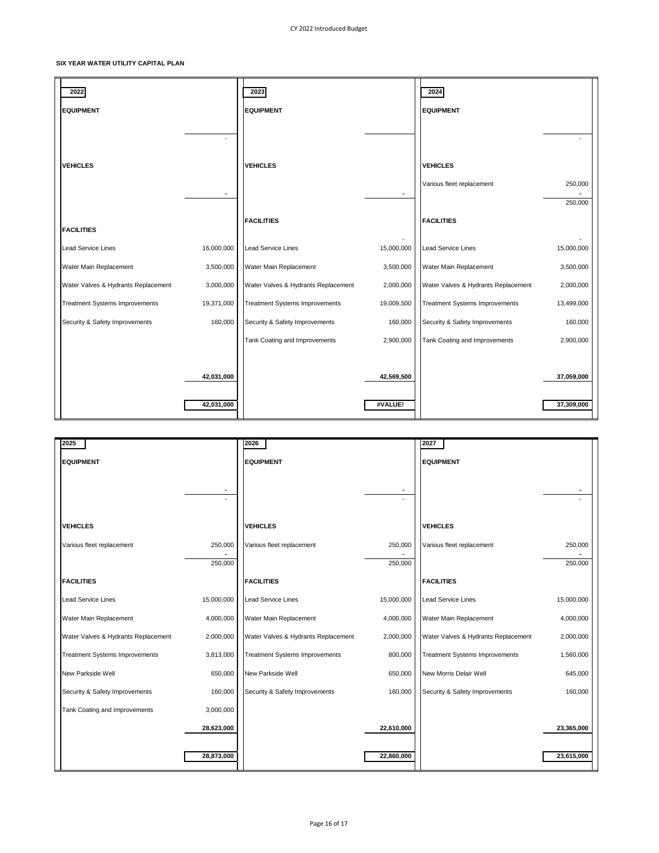### **SIX YEAR WATER UTILITY CAPITAL PLAN**

| 2022                                  |                          | 2023                                  |                       | 2024                                         |                          |
|---------------------------------------|--------------------------|---------------------------------------|-----------------------|----------------------------------------------|--------------------------|
| <b>EQUIPMENT</b>                      |                          | <b>EQUIPMENT</b>                      |                       | <b>EQUIPMENT</b>                             |                          |
| <b>VEHICLES</b>                       |                          | <b>VEHICLES</b>                       |                       | <b>VEHICLES</b><br>Various fleet replacement | 250,000<br>250,000       |
| <b>FACILITIES</b>                     |                          | <b>FACILITIES</b>                     |                       | <b>FACILITIES</b>                            |                          |
| <b>Lead Service Lines</b>             | 16,000,000               | <b>Lead Service Lines</b>             | 15,000,000            | <b>Lead Service Lines</b>                    | 15,000,000               |
| Water Main Replacement                | 3,500,000                | Water Main Replacement                | 3,500,000             | Water Main Replacement                       | 3,500,000                |
| Water Valves & Hydrants Replacement   | 3,000,000                | Water Valves & Hydrants Replacement   | 2,000,000             | Water Valves & Hydrants Replacement          | 2,000,000                |
| <b>Treatment Systems Improvements</b> | 19,371,000               | <b>Treatment Systems Improvements</b> | 19,009,500            | <b>Treatment Systems Improvements</b>        | 13,499,000               |
| Security & Safety Improvements        | 160,000                  | Security & Safety Improvements        | 160,000               | Security & Safety Improvements               | 160,000                  |
|                                       |                          | Tank Coating and Improvements         | 2,900,000             | Tank Coating and Improvements                | 2,900,000                |
|                                       | 42,031,000<br>42,031,000 |                                       | 42,569,500<br>#VALUE! |                                              | 37,059,000<br>37,309,000 |

| 2025                                  |            | 2026                                  |            | 2027                                  |            |
|---------------------------------------|------------|---------------------------------------|------------|---------------------------------------|------------|
| <b>EQUIPMENT</b>                      |            | <b>EQUIPMENT</b>                      |            | <b>EQUIPMENT</b>                      |            |
|                                       |            |                                       |            |                                       |            |
|                                       |            |                                       |            |                                       |            |
|                                       |            |                                       |            |                                       |            |
| <b>VEHICLES</b>                       |            | <b>VEHICLES</b>                       |            | <b>VEHICLES</b>                       |            |
|                                       |            |                                       |            |                                       |            |
| Various fleet replacement             | 250,000    | Various fleet replacement             | 250,000    | Various fleet replacement             | 250,000    |
|                                       | 250,000    |                                       | 250,000    |                                       | 250,000    |
| <b>FACILITIES</b>                     |            | <b>FACILITIES</b>                     |            | <b>FACILITIES</b>                     |            |
| <b>Lead Service Lines</b>             | 15,000,000 | <b>Lead Service Lines</b>             | 15,000,000 | <b>Lead Service Lines</b>             | 15,000,000 |
| Water Main Replacement                | 4,000,000  | Water Main Replacement                | 4,000,000  | Water Main Replacement                | 4,000,000  |
| Water Valves & Hydrants Replacement   | 2,000,000  | Water Valves & Hydrants Replacement   | 2,000,000  | Water Valves & Hydrants Replacement   | 2,000,000  |
| <b>Treatment Systems Improvements</b> | 3,813,000  | <b>Treatment Systems Improvements</b> | 800,000    | <b>Treatment Systems Improvements</b> | 1,560,000  |
| New Parkside Well                     | 650,000    | New Parkside Well                     | 650,000    | New Morris Delair Well                | 645,000    |
| Security & Safety Improvements        | 160,000    | Security & Safety Improvements        | 160,000    | Security & Safety Improvements        | 160,000    |
| Tank Coating and Improvements         | 3,000,000  |                                       |            |                                       |            |
|                                       | 28,623,000 |                                       | 22,610,000 |                                       | 23,365,000 |
|                                       | 28,873,000 |                                       | 22,860,000 |                                       | 23,615,000 |